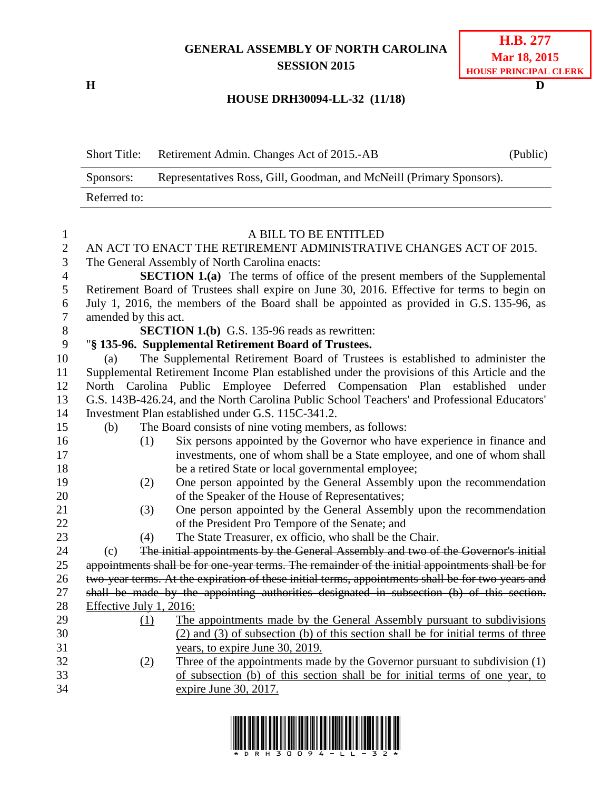# **GENERAL ASSEMBLY OF NORTH CAROLINA SESSION 2015**

**H D**

## **HOUSE DRH30094-LL-32 (11/18)**

Short Title: Retirement Admin. Changes Act of 2015.-AB (Public) Sponsors: Representatives Ross, Gill, Goodman, and McNeill (Primary Sponsors). Referred to:

| $\mathbf{1}$   |                         | A BILL TO BE ENTITLED                                                                             |
|----------------|-------------------------|---------------------------------------------------------------------------------------------------|
| $\overline{2}$ |                         | AN ACT TO ENACT THE RETIREMENT ADMINISTRATIVE CHANGES ACT OF 2015.                                |
| 3              |                         | The General Assembly of North Carolina enacts:                                                    |
| $\overline{4}$ |                         | <b>SECTION 1.(a)</b> The terms of office of the present members of the Supplemental               |
| $\mathfrak{S}$ |                         | Retirement Board of Trustees shall expire on June 30, 2016. Effective for terms to begin on       |
| 6              |                         | July 1, 2016, the members of the Board shall be appointed as provided in G.S. 135-96, as          |
| $\overline{7}$ | amended by this act.    |                                                                                                   |
| 8              |                         | <b>SECTION 1.(b)</b> G.S. 135-96 reads as rewritten:                                              |
| 9              |                         | "§ 135-96. Supplemental Retirement Board of Trustees.                                             |
| 10             | (a)                     | The Supplemental Retirement Board of Trustees is established to administer the                    |
| 11             |                         | Supplemental Retirement Income Plan established under the provisions of this Article and the      |
| 12             |                         | North Carolina Public Employee Deferred Compensation Plan established under                       |
| 13             |                         | G.S. 143B-426.24, and the North Carolina Public School Teachers' and Professional Educators'      |
| 14             |                         | Investment Plan established under G.S. 115C-341.2.                                                |
| 15             | (b)                     | The Board consists of nine voting members, as follows:                                            |
| 16             | (1)                     | Six persons appointed by the Governor who have experience in finance and                          |
| 17             |                         | investments, one of whom shall be a State employee, and one of whom shall                         |
| 18             |                         | be a retired State or local governmental employee;                                                |
| 19             | (2)                     | One person appointed by the General Assembly upon the recommendation                              |
| 20             |                         | of the Speaker of the House of Representatives;                                                   |
| 21             | (3)                     | One person appointed by the General Assembly upon the recommendation                              |
| 22             |                         | of the President Pro Tempore of the Senate; and                                                   |
| 23             | (4)                     | The State Treasurer, ex officio, who shall be the Chair.                                          |
| 24             | (c)                     | The initial appointments by the General Assembly and two of the Governor's initial                |
| 25             |                         | appointments shall be for one-year terms. The remainder of the initial appointments shall be for  |
| 26             |                         | two-year terms. At the expiration of these initial terms, appointments shall be for two years and |
| 27             |                         | shall be made by the appointing authorities designated in subsection (b) of this section.         |
| 28             | Effective July 1, 2016: |                                                                                                   |
| 29             | (1)                     | The appointments made by the General Assembly pursuant to subdivisions                            |
| 30             |                         | (2) and (3) of subsection (b) of this section shall be for initial terms of three                 |
| 31             |                         | years, to expire June 30, 2019.                                                                   |
| 32             | (2)                     | Three of the appointments made by the Governor pursuant to subdivision $(1)$                      |
| 33             |                         | of subsection (b) of this section shall be for initial terms of one year, to                      |
| 34             |                         | expire June 30, 2017.                                                                             |
|                |                         |                                                                                                   |

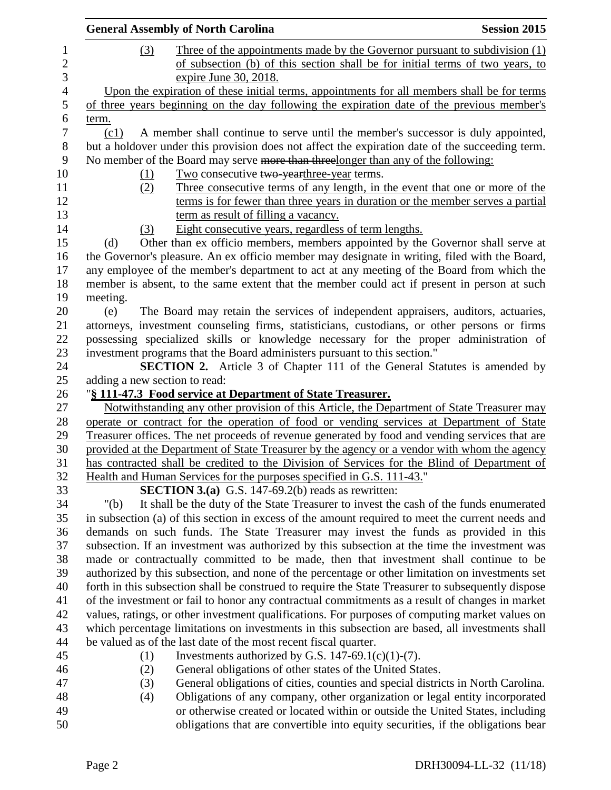|                          |                               | <b>General Assembly of North Carolina</b>                                                                                                                                                   | <b>Session 2015</b> |
|--------------------------|-------------------------------|---------------------------------------------------------------------------------------------------------------------------------------------------------------------------------------------|---------------------|
| 1<br>$\overline{c}$<br>3 | (3)                           | <u>Three of the appointments made by the Governor pursuant to subdivision (1)</u><br>of subsection (b) of this section shall be for initial terms of two years, to<br>expire June 30, 2018. |                     |
| $\overline{4}$           |                               | Upon the expiration of these initial terms, appointments for all members shall be for terms                                                                                                 |                     |
| 5                        |                               | of three years beginning on the day following the expiration date of the previous member's                                                                                                  |                     |
| $\boldsymbol{6}$         | term.                         |                                                                                                                                                                                             |                     |
| $\tau$                   | (c1)                          | A member shall continue to serve until the member's successor is duly appointed,                                                                                                            |                     |
| $8\,$<br>9               |                               | but a holdover under this provision does not affect the expiration date of the succeeding term.<br>No member of the Board may serve more than threelonger than any of the following:        |                     |
| 10                       | (1)                           | Two consecutive two yearthree-year terms.                                                                                                                                                   |                     |
| 11                       | (2)                           | Three consecutive terms of any length, in the event that one or more of the                                                                                                                 |                     |
| 12                       |                               | terms is for fewer than three years in duration or the member serves a partial                                                                                                              |                     |
| 13                       |                               | term as result of filling a vacancy.                                                                                                                                                        |                     |
| 14                       | (3)                           | Eight consecutive years, regardless of term lengths.                                                                                                                                        |                     |
| 15                       | (d)                           | Other than ex officio members, members appointed by the Governor shall serve at                                                                                                             |                     |
| 16                       |                               | the Governor's pleasure. An ex officio member may designate in writing, filed with the Board,                                                                                               |                     |
| 17                       |                               | any employee of the member's department to act at any meeting of the Board from which the                                                                                                   |                     |
| 18                       |                               | member is absent, to the same extent that the member could act if present in person at such                                                                                                 |                     |
| 19                       | meeting.                      |                                                                                                                                                                                             |                     |
| 20                       | (e)                           | The Board may retain the services of independent appraisers, auditors, actuaries,                                                                                                           |                     |
| 21                       |                               | attorneys, investment counseling firms, statisticians, custodians, or other persons or firms                                                                                                |                     |
| 22                       |                               | possessing specialized skills or knowledge necessary for the proper administration of                                                                                                       |                     |
| 23                       |                               | investment programs that the Board administers pursuant to this section."                                                                                                                   |                     |
| 24                       |                               | SECTION 2. Article 3 of Chapter 111 of the General Statutes is amended by                                                                                                                   |                     |
| 25                       | adding a new section to read: |                                                                                                                                                                                             |                     |
| 26                       |                               | "§ 111-47.3 Food service at Department of State Treasurer.                                                                                                                                  |                     |
| 27                       |                               | Notwithstanding any other provision of this Article, the Department of State Treasurer may                                                                                                  |                     |
| 28                       |                               | operate or contract for the operation of food or vending services at Department of State                                                                                                    |                     |
| 29                       |                               | Treasurer offices. The net proceeds of revenue generated by food and vending services that are                                                                                              |                     |
| 30                       |                               | provided at the Department of State Treasurer by the agency or a vendor with whom the agency                                                                                                |                     |
| 31                       |                               | has contracted shall be credited to the Division of Services for the Blind of Department of                                                                                                 |                     |
| 32<br>33                 |                               | Health and Human Services for the purposes specified in G.S. 111-43."<br><b>SECTION 3.(a)</b> G.S. 147-69.2(b) reads as rewritten:                                                          |                     |
| 34                       | " $(b)$                       | It shall be the duty of the State Treasurer to invest the cash of the funds enumerated                                                                                                      |                     |
| 35                       |                               | in subsection (a) of this section in excess of the amount required to meet the current needs and                                                                                            |                     |
| 36                       |                               | demands on such funds. The State Treasurer may invest the funds as provided in this                                                                                                         |                     |
| 37                       |                               | subsection. If an investment was authorized by this subsection at the time the investment was                                                                                               |                     |
| 38                       |                               | made or contractually committed to be made, then that investment shall continue to be                                                                                                       |                     |
| 39                       |                               | authorized by this subsection, and none of the percentage or other limitation on investments set                                                                                            |                     |
| 40                       |                               | forth in this subsection shall be construed to require the State Treasurer to subsequently dispose                                                                                          |                     |
| 41                       |                               | of the investment or fail to honor any contractual commitments as a result of changes in market                                                                                             |                     |
| 42                       |                               | values, ratings, or other investment qualifications. For purposes of computing market values on                                                                                             |                     |
| 43                       |                               | which percentage limitations on investments in this subsection are based, all investments shall                                                                                             |                     |
| 44                       |                               | be valued as of the last date of the most recent fiscal quarter.                                                                                                                            |                     |
| 45                       | (1)                           | Investments authorized by G.S. 147-69.1(c)(1)-(7).                                                                                                                                          |                     |
| 46                       | (2)                           | General obligations of other states of the United States.                                                                                                                                   |                     |
| 47                       | (3)                           | General obligations of cities, counties and special districts in North Carolina.                                                                                                            |                     |
| 48                       | (4)                           | Obligations of any company, other organization or legal entity incorporated                                                                                                                 |                     |
| 49                       |                               | or otherwise created or located within or outside the United States, including                                                                                                              |                     |
| 50                       |                               | obligations that are convertible into equity securities, if the obligations bear                                                                                                            |                     |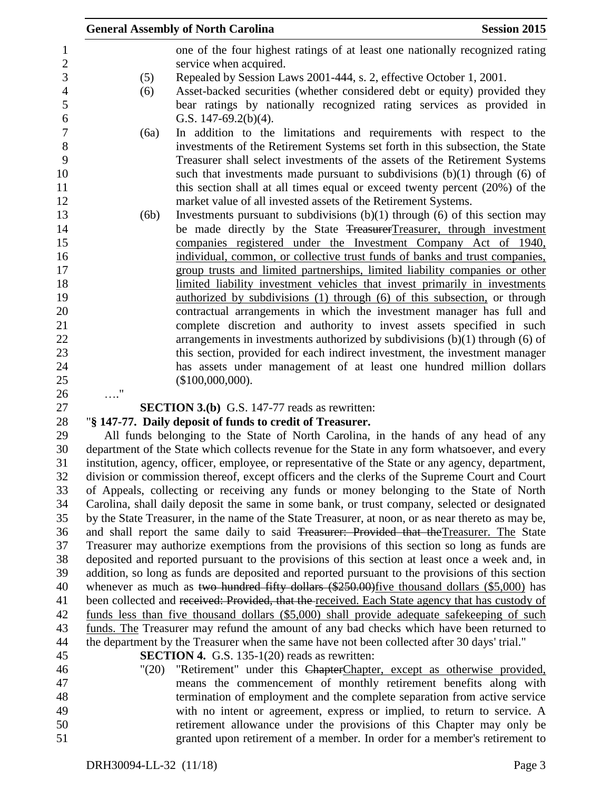|                       | <b>General Assembly of North Carolina</b>                                                                                                                                               | <b>Session 2015</b> |
|-----------------------|-----------------------------------------------------------------------------------------------------------------------------------------------------------------------------------------|---------------------|
|                       | one of the four highest ratings of at least one nationally recognized rating                                                                                                            |                     |
|                       | service when acquired.                                                                                                                                                                  |                     |
| (5)                   | Repealed by Session Laws 2001-444, s. 2, effective October 1, 2001.                                                                                                                     |                     |
| (6)                   | Asset-backed securities (whether considered debt or equity) provided they                                                                                                               |                     |
|                       | bear ratings by nationally recognized rating services as provided in                                                                                                                    |                     |
|                       | G.S. $147-69.2(b)(4)$ .                                                                                                                                                                 |                     |
| (6a)                  | In addition to the limitations and requirements with respect to the                                                                                                                     |                     |
|                       | investments of the Retirement Systems set forth in this subsection, the State                                                                                                           |                     |
|                       | Treasurer shall select investments of the assets of the Retirement Systems                                                                                                              |                     |
|                       | such that investments made pursuant to subdivisions $(b)(1)$ through $(6)$ of                                                                                                           |                     |
|                       | this section shall at all times equal or exceed twenty percent (20%) of the                                                                                                             |                     |
|                       | market value of all invested assets of the Retirement Systems.                                                                                                                          |                     |
| (6b)                  | Investments pursuant to subdivisions $(b)(1)$ through $(6)$ of this section may                                                                                                         |                     |
|                       | be made directly by the State TreasurerTreasurer, through investment                                                                                                                    |                     |
|                       | companies registered under the Investment Company Act of 1940,<br>individual, common, or collective trust funds of banks and trust companies,                                           |                     |
|                       | group trusts and limited partnerships, limited liability companies or other                                                                                                             |                     |
|                       | limited liability investment vehicles that invest primarily in investments                                                                                                              |                     |
|                       | authorized by subdivisions (1) through (6) of this subsection, or through                                                                                                               |                     |
|                       | contractual arrangements in which the investment manager has full and                                                                                                                   |                     |
|                       | complete discretion and authority to invest assets specified in such                                                                                                                    |                     |
|                       | arrangements in investments authorized by subdivisions $(b)(1)$ through $(6)$ of                                                                                                        |                     |
|                       | this section, provided for each indirect investment, the investment manager                                                                                                             |                     |
|                       | has assets under management of at least one hundred million dollars                                                                                                                     |                     |
|                       | (\$100,000,000).                                                                                                                                                                        |                     |
|                       |                                                                                                                                                                                         |                     |
|                       | <b>SECTION 3.(b)</b> G.S. 147-77 reads as rewritten:                                                                                                                                    |                     |
|                       | "§ 147-77. Daily deposit of funds to credit of Treasurer.                                                                                                                               |                     |
|                       | All funds belonging to the State of North Carolina, in the hands of any head of any                                                                                                     |                     |
|                       | department of the State which collects revenue for the State in any form whatsoever, and every                                                                                          |                     |
|                       | institution, agency, officer, employee, or representative of the State or any agency, department,                                                                                       |                     |
|                       | division or commission thereof, except officers and the clerks of the Supreme Court and Court<br>of Appeals, collecting or receiving any funds or money belonging to the State of North |                     |
|                       | Carolina, shall daily deposit the same in some bank, or trust company, selected or designated                                                                                           |                     |
|                       | by the State Treasurer, in the name of the State Treasurer, at noon, or as near thereto as may be,                                                                                      |                     |
|                       | and shall report the same daily to said Treasurer: Provided that the Treasurer. The State                                                                                               |                     |
|                       | Treasurer may authorize exemptions from the provisions of this section so long as funds are                                                                                             |                     |
|                       | deposited and reported pursuant to the provisions of this section at least once a week and, in                                                                                          |                     |
|                       | addition, so long as funds are deposited and reported pursuant to the provisions of this section                                                                                        |                     |
|                       | whenever as much as two hundred fifty dollars (\$250.00) five thousand dollars (\$5,000) has                                                                                            |                     |
|                       | been collected and received: Provided, that the received. Each State agency that has custody of                                                                                         |                     |
|                       | funds less than five thousand dollars (\$5,000) shall provide adequate safekeeping of such                                                                                              |                     |
|                       | funds. The Treasurer may refund the amount of any bad checks which have been returned to                                                                                                |                     |
|                       | the department by the Treasurer when the same have not been collected after 30 days' trial."                                                                                            |                     |
|                       | <b>SECTION 4.</b> G.S. 135-1(20) reads as rewritten:                                                                                                                                    |                     |
| $^{\prime\prime}(20)$ | "Retirement" under this ChapterChapter, except as otherwise provided,                                                                                                                   |                     |
|                       | means the commencement of monthly retirement benefits along with                                                                                                                        |                     |
|                       | termination of employment and the complete separation from active service                                                                                                               |                     |
|                       | with no intent or agreement, express or implied, to return to service. A                                                                                                                |                     |
|                       | retirement allowance under the provisions of this Chapter may only be                                                                                                                   |                     |

granted upon retirement of a member. In order for a member's retirement to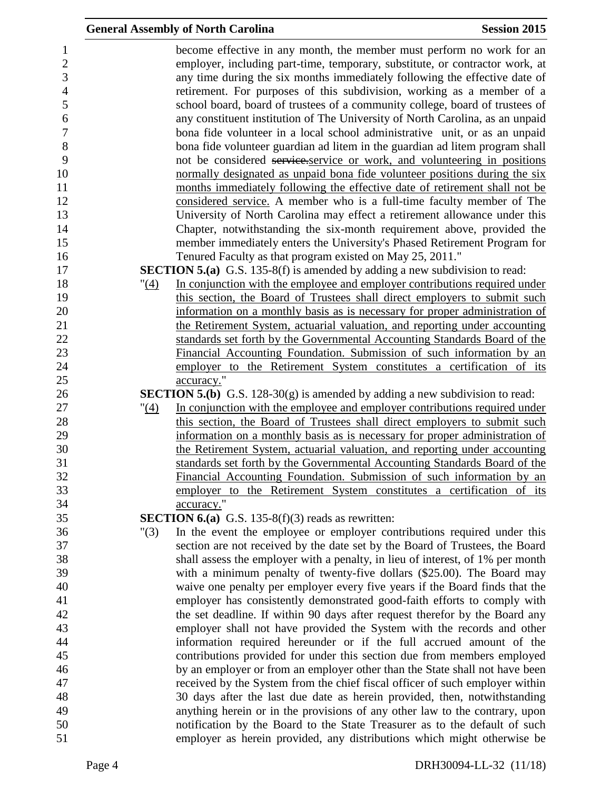|              | <b>General Assembly of North Carolina</b>                                                                                                               | <b>Session 2015</b> |
|--------------|---------------------------------------------------------------------------------------------------------------------------------------------------------|---------------------|
|              | become effective in any month, the member must perform no work for an                                                                                   |                     |
|              | employer, including part-time, temporary, substitute, or contractor work, at                                                                            |                     |
|              | any time during the six months immediately following the effective date of                                                                              |                     |
|              | retirement. For purposes of this subdivision, working as a member of a                                                                                  |                     |
|              | school board, board of trustees of a community college, board of trustees of                                                                            |                     |
|              | any constituent institution of The University of North Carolina, as an unpaid                                                                           |                     |
|              | bona fide volunteer in a local school administrative unit, or as an unpaid                                                                              |                     |
|              | bona fide volunteer guardian ad litem in the guardian ad litem program shall                                                                            |                     |
|              | not be considered service-service or work, and volunteering in positions                                                                                |                     |
|              | normally designated as unpaid bona fide volunteer positions during the six                                                                              |                     |
|              | months immediately following the effective date of retirement shall not be                                                                              |                     |
|              | considered service. A member who is a full-time faculty member of The                                                                                   |                     |
|              | University of North Carolina may effect a retirement allowance under this                                                                               |                     |
|              | Chapter, notwithstanding the six-month requirement above, provided the                                                                                  |                     |
|              | member immediately enters the University's Phased Retirement Program for                                                                                |                     |
|              | Tenured Faculty as that program existed on May 25, 2011."                                                                                               |                     |
|              | <b>SECTION 5.(a)</b> G.S. 135-8(f) is amended by adding a new subdivision to read:                                                                      |                     |
| " <u>(4)</u> | In conjunction with the employee and employer contributions required under                                                                              |                     |
|              | this section, the Board of Trustees shall direct employers to submit such                                                                               |                     |
|              | information on a monthly basis as is necessary for proper administration of                                                                             |                     |
|              | the Retirement System, actuarial valuation, and reporting under accounting<br>standards set forth by the Governmental Accounting Standards Board of the |                     |
|              | Financial Accounting Foundation. Submission of such information by an                                                                                   |                     |
|              | employer to the Retirement System constitutes a certification of its                                                                                    |                     |
|              | accuracy."                                                                                                                                              |                     |
|              | <b>SECTION 5.(b)</b> G.S. 128-30 $(g)$ is amended by adding a new subdivision to read:                                                                  |                     |
| "(4)         | In conjunction with the employee and employer contributions required under                                                                              |                     |
|              | this section, the Board of Trustees shall direct employers to submit such                                                                               |                     |
|              | information on a monthly basis as is necessary for proper administration of                                                                             |                     |
|              | the Retirement System, actuarial valuation, and reporting under accounting                                                                              |                     |
|              | standards set forth by the Governmental Accounting Standards Board of the                                                                               |                     |
|              | Financial Accounting Foundation. Submission of such information by an                                                                                   |                     |
|              | employer to the Retirement System constitutes a certification of its                                                                                    |                     |
|              | accuracy."                                                                                                                                              |                     |
|              | <b>SECTION 6.(a)</b> G.S. 135-8(f)(3) reads as rewritten:                                                                                               |                     |
| "(3)         | In the event the employee or employer contributions required under this                                                                                 |                     |
|              | section are not received by the date set by the Board of Trustees, the Board                                                                            |                     |
|              | shall assess the employer with a penalty, in lieu of interest, of 1% per month                                                                          |                     |
|              | with a minimum penalty of twenty-five dollars (\$25.00). The Board may                                                                                  |                     |
|              | waive one penalty per employer every five years if the Board finds that the                                                                             |                     |
|              | employer has consistently demonstrated good-faith efforts to comply with                                                                                |                     |
|              | the set deadline. If within 90 days after request therefor by the Board any                                                                             |                     |
|              | employer shall not have provided the System with the records and other                                                                                  |                     |
|              | information required hereunder or if the full accrued amount of the                                                                                     |                     |
|              | contributions provided for under this section due from members employed                                                                                 |                     |
|              | by an employer or from an employer other than the State shall not have been                                                                             |                     |
|              | received by the System from the chief fiscal officer of such employer within                                                                            |                     |
|              | 30 days after the last due date as herein provided, then, notwithstanding                                                                               |                     |
|              | anything herein or in the provisions of any other law to the contrary, upon                                                                             |                     |
|              | notification by the Board to the State Treasurer as to the default of such                                                                              |                     |
|              | employer as herein provided, any distributions which might otherwise be                                                                                 |                     |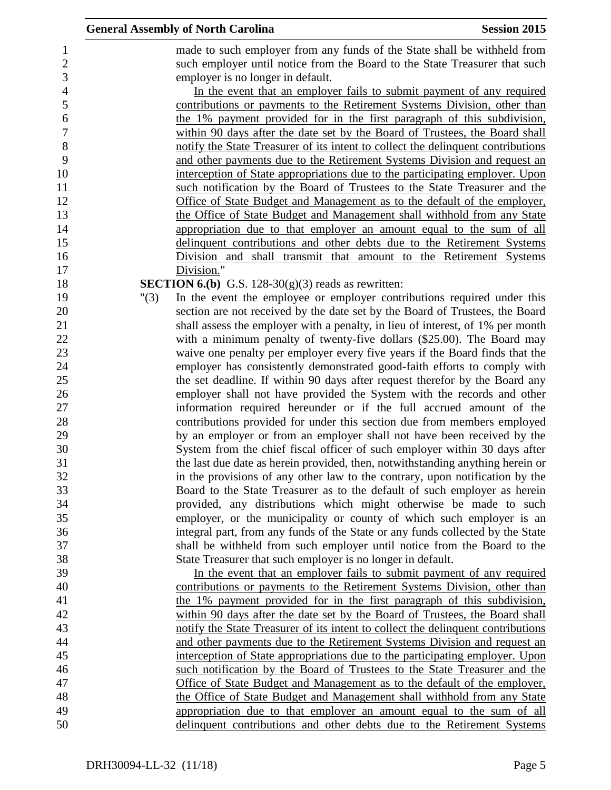|      |                                                                                 | <b>Session 2015</b>                                                                                                                                                                                                                                                                                                                                                                                                                                                                                                                                                                                                                                                                                                                                                                                                                                                                                                                                                                                                                                                                                                                                                                                                                                                                                                                                                                                                                                                                                                                                                                                                                                                                                                                                                                                                                                                                                                                                                                                                                                                                                                                                                                                                                                                                                                                                                                                                                                                                                                                                                                                                                                                                                                                                                                                                                                                                                                                                                                                                 |
|------|---------------------------------------------------------------------------------|---------------------------------------------------------------------------------------------------------------------------------------------------------------------------------------------------------------------------------------------------------------------------------------------------------------------------------------------------------------------------------------------------------------------------------------------------------------------------------------------------------------------------------------------------------------------------------------------------------------------------------------------------------------------------------------------------------------------------------------------------------------------------------------------------------------------------------------------------------------------------------------------------------------------------------------------------------------------------------------------------------------------------------------------------------------------------------------------------------------------------------------------------------------------------------------------------------------------------------------------------------------------------------------------------------------------------------------------------------------------------------------------------------------------------------------------------------------------------------------------------------------------------------------------------------------------------------------------------------------------------------------------------------------------------------------------------------------------------------------------------------------------------------------------------------------------------------------------------------------------------------------------------------------------------------------------------------------------------------------------------------------------------------------------------------------------------------------------------------------------------------------------------------------------------------------------------------------------------------------------------------------------------------------------------------------------------------------------------------------------------------------------------------------------------------------------------------------------------------------------------------------------------------------------------------------------------------------------------------------------------------------------------------------------------------------------------------------------------------------------------------------------------------------------------------------------------------------------------------------------------------------------------------------------------------------------------------------------------------------------------------------------|
|      |                                                                                 |                                                                                                                                                                                                                                                                                                                                                                                                                                                                                                                                                                                                                                                                                                                                                                                                                                                                                                                                                                                                                                                                                                                                                                                                                                                                                                                                                                                                                                                                                                                                                                                                                                                                                                                                                                                                                                                                                                                                                                                                                                                                                                                                                                                                                                                                                                                                                                                                                                                                                                                                                                                                                                                                                                                                                                                                                                                                                                                                                                                                                     |
|      |                                                                                 |                                                                                                                                                                                                                                                                                                                                                                                                                                                                                                                                                                                                                                                                                                                                                                                                                                                                                                                                                                                                                                                                                                                                                                                                                                                                                                                                                                                                                                                                                                                                                                                                                                                                                                                                                                                                                                                                                                                                                                                                                                                                                                                                                                                                                                                                                                                                                                                                                                                                                                                                                                                                                                                                                                                                                                                                                                                                                                                                                                                                                     |
|      |                                                                                 |                                                                                                                                                                                                                                                                                                                                                                                                                                                                                                                                                                                                                                                                                                                                                                                                                                                                                                                                                                                                                                                                                                                                                                                                                                                                                                                                                                                                                                                                                                                                                                                                                                                                                                                                                                                                                                                                                                                                                                                                                                                                                                                                                                                                                                                                                                                                                                                                                                                                                                                                                                                                                                                                                                                                                                                                                                                                                                                                                                                                                     |
|      |                                                                                 |                                                                                                                                                                                                                                                                                                                                                                                                                                                                                                                                                                                                                                                                                                                                                                                                                                                                                                                                                                                                                                                                                                                                                                                                                                                                                                                                                                                                                                                                                                                                                                                                                                                                                                                                                                                                                                                                                                                                                                                                                                                                                                                                                                                                                                                                                                                                                                                                                                                                                                                                                                                                                                                                                                                                                                                                                                                                                                                                                                                                                     |
|      |                                                                                 |                                                                                                                                                                                                                                                                                                                                                                                                                                                                                                                                                                                                                                                                                                                                                                                                                                                                                                                                                                                                                                                                                                                                                                                                                                                                                                                                                                                                                                                                                                                                                                                                                                                                                                                                                                                                                                                                                                                                                                                                                                                                                                                                                                                                                                                                                                                                                                                                                                                                                                                                                                                                                                                                                                                                                                                                                                                                                                                                                                                                                     |
|      |                                                                                 |                                                                                                                                                                                                                                                                                                                                                                                                                                                                                                                                                                                                                                                                                                                                                                                                                                                                                                                                                                                                                                                                                                                                                                                                                                                                                                                                                                                                                                                                                                                                                                                                                                                                                                                                                                                                                                                                                                                                                                                                                                                                                                                                                                                                                                                                                                                                                                                                                                                                                                                                                                                                                                                                                                                                                                                                                                                                                                                                                                                                                     |
|      |                                                                                 |                                                                                                                                                                                                                                                                                                                                                                                                                                                                                                                                                                                                                                                                                                                                                                                                                                                                                                                                                                                                                                                                                                                                                                                                                                                                                                                                                                                                                                                                                                                                                                                                                                                                                                                                                                                                                                                                                                                                                                                                                                                                                                                                                                                                                                                                                                                                                                                                                                                                                                                                                                                                                                                                                                                                                                                                                                                                                                                                                                                                                     |
|      |                                                                                 |                                                                                                                                                                                                                                                                                                                                                                                                                                                                                                                                                                                                                                                                                                                                                                                                                                                                                                                                                                                                                                                                                                                                                                                                                                                                                                                                                                                                                                                                                                                                                                                                                                                                                                                                                                                                                                                                                                                                                                                                                                                                                                                                                                                                                                                                                                                                                                                                                                                                                                                                                                                                                                                                                                                                                                                                                                                                                                                                                                                                                     |
|      |                                                                                 |                                                                                                                                                                                                                                                                                                                                                                                                                                                                                                                                                                                                                                                                                                                                                                                                                                                                                                                                                                                                                                                                                                                                                                                                                                                                                                                                                                                                                                                                                                                                                                                                                                                                                                                                                                                                                                                                                                                                                                                                                                                                                                                                                                                                                                                                                                                                                                                                                                                                                                                                                                                                                                                                                                                                                                                                                                                                                                                                                                                                                     |
|      |                                                                                 |                                                                                                                                                                                                                                                                                                                                                                                                                                                                                                                                                                                                                                                                                                                                                                                                                                                                                                                                                                                                                                                                                                                                                                                                                                                                                                                                                                                                                                                                                                                                                                                                                                                                                                                                                                                                                                                                                                                                                                                                                                                                                                                                                                                                                                                                                                                                                                                                                                                                                                                                                                                                                                                                                                                                                                                                                                                                                                                                                                                                                     |
|      |                                                                                 |                                                                                                                                                                                                                                                                                                                                                                                                                                                                                                                                                                                                                                                                                                                                                                                                                                                                                                                                                                                                                                                                                                                                                                                                                                                                                                                                                                                                                                                                                                                                                                                                                                                                                                                                                                                                                                                                                                                                                                                                                                                                                                                                                                                                                                                                                                                                                                                                                                                                                                                                                                                                                                                                                                                                                                                                                                                                                                                                                                                                                     |
|      |                                                                                 |                                                                                                                                                                                                                                                                                                                                                                                                                                                                                                                                                                                                                                                                                                                                                                                                                                                                                                                                                                                                                                                                                                                                                                                                                                                                                                                                                                                                                                                                                                                                                                                                                                                                                                                                                                                                                                                                                                                                                                                                                                                                                                                                                                                                                                                                                                                                                                                                                                                                                                                                                                                                                                                                                                                                                                                                                                                                                                                                                                                                                     |
|      | the Office of State Budget and Management shall withhold from any State         |                                                                                                                                                                                                                                                                                                                                                                                                                                                                                                                                                                                                                                                                                                                                                                                                                                                                                                                                                                                                                                                                                                                                                                                                                                                                                                                                                                                                                                                                                                                                                                                                                                                                                                                                                                                                                                                                                                                                                                                                                                                                                                                                                                                                                                                                                                                                                                                                                                                                                                                                                                                                                                                                                                                                                                                                                                                                                                                                                                                                                     |
|      | appropriation due to that employer an amount equal to the sum of all            |                                                                                                                                                                                                                                                                                                                                                                                                                                                                                                                                                                                                                                                                                                                                                                                                                                                                                                                                                                                                                                                                                                                                                                                                                                                                                                                                                                                                                                                                                                                                                                                                                                                                                                                                                                                                                                                                                                                                                                                                                                                                                                                                                                                                                                                                                                                                                                                                                                                                                                                                                                                                                                                                                                                                                                                                                                                                                                                                                                                                                     |
|      | delinquent contributions and other debts due to the Retirement Systems          |                                                                                                                                                                                                                                                                                                                                                                                                                                                                                                                                                                                                                                                                                                                                                                                                                                                                                                                                                                                                                                                                                                                                                                                                                                                                                                                                                                                                                                                                                                                                                                                                                                                                                                                                                                                                                                                                                                                                                                                                                                                                                                                                                                                                                                                                                                                                                                                                                                                                                                                                                                                                                                                                                                                                                                                                                                                                                                                                                                                                                     |
|      | Division and shall transmit that amount to the Retirement Systems               |                                                                                                                                                                                                                                                                                                                                                                                                                                                                                                                                                                                                                                                                                                                                                                                                                                                                                                                                                                                                                                                                                                                                                                                                                                                                                                                                                                                                                                                                                                                                                                                                                                                                                                                                                                                                                                                                                                                                                                                                                                                                                                                                                                                                                                                                                                                                                                                                                                                                                                                                                                                                                                                                                                                                                                                                                                                                                                                                                                                                                     |
|      | Division."                                                                      |                                                                                                                                                                                                                                                                                                                                                                                                                                                                                                                                                                                                                                                                                                                                                                                                                                                                                                                                                                                                                                                                                                                                                                                                                                                                                                                                                                                                                                                                                                                                                                                                                                                                                                                                                                                                                                                                                                                                                                                                                                                                                                                                                                                                                                                                                                                                                                                                                                                                                                                                                                                                                                                                                                                                                                                                                                                                                                                                                                                                                     |
|      |                                                                                 |                                                                                                                                                                                                                                                                                                                                                                                                                                                                                                                                                                                                                                                                                                                                                                                                                                                                                                                                                                                                                                                                                                                                                                                                                                                                                                                                                                                                                                                                                                                                                                                                                                                                                                                                                                                                                                                                                                                                                                                                                                                                                                                                                                                                                                                                                                                                                                                                                                                                                                                                                                                                                                                                                                                                                                                                                                                                                                                                                                                                                     |
| "(3) | In the event the employee or employer contributions required under this         |                                                                                                                                                                                                                                                                                                                                                                                                                                                                                                                                                                                                                                                                                                                                                                                                                                                                                                                                                                                                                                                                                                                                                                                                                                                                                                                                                                                                                                                                                                                                                                                                                                                                                                                                                                                                                                                                                                                                                                                                                                                                                                                                                                                                                                                                                                                                                                                                                                                                                                                                                                                                                                                                                                                                                                                                                                                                                                                                                                                                                     |
|      |                                                                                 |                                                                                                                                                                                                                                                                                                                                                                                                                                                                                                                                                                                                                                                                                                                                                                                                                                                                                                                                                                                                                                                                                                                                                                                                                                                                                                                                                                                                                                                                                                                                                                                                                                                                                                                                                                                                                                                                                                                                                                                                                                                                                                                                                                                                                                                                                                                                                                                                                                                                                                                                                                                                                                                                                                                                                                                                                                                                                                                                                                                                                     |
|      |                                                                                 |                                                                                                                                                                                                                                                                                                                                                                                                                                                                                                                                                                                                                                                                                                                                                                                                                                                                                                                                                                                                                                                                                                                                                                                                                                                                                                                                                                                                                                                                                                                                                                                                                                                                                                                                                                                                                                                                                                                                                                                                                                                                                                                                                                                                                                                                                                                                                                                                                                                                                                                                                                                                                                                                                                                                                                                                                                                                                                                                                                                                                     |
|      |                                                                                 |                                                                                                                                                                                                                                                                                                                                                                                                                                                                                                                                                                                                                                                                                                                                                                                                                                                                                                                                                                                                                                                                                                                                                                                                                                                                                                                                                                                                                                                                                                                                                                                                                                                                                                                                                                                                                                                                                                                                                                                                                                                                                                                                                                                                                                                                                                                                                                                                                                                                                                                                                                                                                                                                                                                                                                                                                                                                                                                                                                                                                     |
|      |                                                                                 |                                                                                                                                                                                                                                                                                                                                                                                                                                                                                                                                                                                                                                                                                                                                                                                                                                                                                                                                                                                                                                                                                                                                                                                                                                                                                                                                                                                                                                                                                                                                                                                                                                                                                                                                                                                                                                                                                                                                                                                                                                                                                                                                                                                                                                                                                                                                                                                                                                                                                                                                                                                                                                                                                                                                                                                                                                                                                                                                                                                                                     |
|      |                                                                                 |                                                                                                                                                                                                                                                                                                                                                                                                                                                                                                                                                                                                                                                                                                                                                                                                                                                                                                                                                                                                                                                                                                                                                                                                                                                                                                                                                                                                                                                                                                                                                                                                                                                                                                                                                                                                                                                                                                                                                                                                                                                                                                                                                                                                                                                                                                                                                                                                                                                                                                                                                                                                                                                                                                                                                                                                                                                                                                                                                                                                                     |
|      |                                                                                 |                                                                                                                                                                                                                                                                                                                                                                                                                                                                                                                                                                                                                                                                                                                                                                                                                                                                                                                                                                                                                                                                                                                                                                                                                                                                                                                                                                                                                                                                                                                                                                                                                                                                                                                                                                                                                                                                                                                                                                                                                                                                                                                                                                                                                                                                                                                                                                                                                                                                                                                                                                                                                                                                                                                                                                                                                                                                                                                                                                                                                     |
|      |                                                                                 |                                                                                                                                                                                                                                                                                                                                                                                                                                                                                                                                                                                                                                                                                                                                                                                                                                                                                                                                                                                                                                                                                                                                                                                                                                                                                                                                                                                                                                                                                                                                                                                                                                                                                                                                                                                                                                                                                                                                                                                                                                                                                                                                                                                                                                                                                                                                                                                                                                                                                                                                                                                                                                                                                                                                                                                                                                                                                                                                                                                                                     |
|      |                                                                                 |                                                                                                                                                                                                                                                                                                                                                                                                                                                                                                                                                                                                                                                                                                                                                                                                                                                                                                                                                                                                                                                                                                                                                                                                                                                                                                                                                                                                                                                                                                                                                                                                                                                                                                                                                                                                                                                                                                                                                                                                                                                                                                                                                                                                                                                                                                                                                                                                                                                                                                                                                                                                                                                                                                                                                                                                                                                                                                                                                                                                                     |
|      |                                                                                 |                                                                                                                                                                                                                                                                                                                                                                                                                                                                                                                                                                                                                                                                                                                                                                                                                                                                                                                                                                                                                                                                                                                                                                                                                                                                                                                                                                                                                                                                                                                                                                                                                                                                                                                                                                                                                                                                                                                                                                                                                                                                                                                                                                                                                                                                                                                                                                                                                                                                                                                                                                                                                                                                                                                                                                                                                                                                                                                                                                                                                     |
|      |                                                                                 |                                                                                                                                                                                                                                                                                                                                                                                                                                                                                                                                                                                                                                                                                                                                                                                                                                                                                                                                                                                                                                                                                                                                                                                                                                                                                                                                                                                                                                                                                                                                                                                                                                                                                                                                                                                                                                                                                                                                                                                                                                                                                                                                                                                                                                                                                                                                                                                                                                                                                                                                                                                                                                                                                                                                                                                                                                                                                                                                                                                                                     |
|      |                                                                                 |                                                                                                                                                                                                                                                                                                                                                                                                                                                                                                                                                                                                                                                                                                                                                                                                                                                                                                                                                                                                                                                                                                                                                                                                                                                                                                                                                                                                                                                                                                                                                                                                                                                                                                                                                                                                                                                                                                                                                                                                                                                                                                                                                                                                                                                                                                                                                                                                                                                                                                                                                                                                                                                                                                                                                                                                                                                                                                                                                                                                                     |
|      |                                                                                 |                                                                                                                                                                                                                                                                                                                                                                                                                                                                                                                                                                                                                                                                                                                                                                                                                                                                                                                                                                                                                                                                                                                                                                                                                                                                                                                                                                                                                                                                                                                                                                                                                                                                                                                                                                                                                                                                                                                                                                                                                                                                                                                                                                                                                                                                                                                                                                                                                                                                                                                                                                                                                                                                                                                                                                                                                                                                                                                                                                                                                     |
|      |                                                                                 |                                                                                                                                                                                                                                                                                                                                                                                                                                                                                                                                                                                                                                                                                                                                                                                                                                                                                                                                                                                                                                                                                                                                                                                                                                                                                                                                                                                                                                                                                                                                                                                                                                                                                                                                                                                                                                                                                                                                                                                                                                                                                                                                                                                                                                                                                                                                                                                                                                                                                                                                                                                                                                                                                                                                                                                                                                                                                                                                                                                                                     |
|      |                                                                                 |                                                                                                                                                                                                                                                                                                                                                                                                                                                                                                                                                                                                                                                                                                                                                                                                                                                                                                                                                                                                                                                                                                                                                                                                                                                                                                                                                                                                                                                                                                                                                                                                                                                                                                                                                                                                                                                                                                                                                                                                                                                                                                                                                                                                                                                                                                                                                                                                                                                                                                                                                                                                                                                                                                                                                                                                                                                                                                                                                                                                                     |
|      |                                                                                 |                                                                                                                                                                                                                                                                                                                                                                                                                                                                                                                                                                                                                                                                                                                                                                                                                                                                                                                                                                                                                                                                                                                                                                                                                                                                                                                                                                                                                                                                                                                                                                                                                                                                                                                                                                                                                                                                                                                                                                                                                                                                                                                                                                                                                                                                                                                                                                                                                                                                                                                                                                                                                                                                                                                                                                                                                                                                                                                                                                                                                     |
|      |                                                                                 |                                                                                                                                                                                                                                                                                                                                                                                                                                                                                                                                                                                                                                                                                                                                                                                                                                                                                                                                                                                                                                                                                                                                                                                                                                                                                                                                                                                                                                                                                                                                                                                                                                                                                                                                                                                                                                                                                                                                                                                                                                                                                                                                                                                                                                                                                                                                                                                                                                                                                                                                                                                                                                                                                                                                                                                                                                                                                                                                                                                                                     |
|      |                                                                                 |                                                                                                                                                                                                                                                                                                                                                                                                                                                                                                                                                                                                                                                                                                                                                                                                                                                                                                                                                                                                                                                                                                                                                                                                                                                                                                                                                                                                                                                                                                                                                                                                                                                                                                                                                                                                                                                                                                                                                                                                                                                                                                                                                                                                                                                                                                                                                                                                                                                                                                                                                                                                                                                                                                                                                                                                                                                                                                                                                                                                                     |
|      |                                                                                 |                                                                                                                                                                                                                                                                                                                                                                                                                                                                                                                                                                                                                                                                                                                                                                                                                                                                                                                                                                                                                                                                                                                                                                                                                                                                                                                                                                                                                                                                                                                                                                                                                                                                                                                                                                                                                                                                                                                                                                                                                                                                                                                                                                                                                                                                                                                                                                                                                                                                                                                                                                                                                                                                                                                                                                                                                                                                                                                                                                                                                     |
|      |                                                                                 |                                                                                                                                                                                                                                                                                                                                                                                                                                                                                                                                                                                                                                                                                                                                                                                                                                                                                                                                                                                                                                                                                                                                                                                                                                                                                                                                                                                                                                                                                                                                                                                                                                                                                                                                                                                                                                                                                                                                                                                                                                                                                                                                                                                                                                                                                                                                                                                                                                                                                                                                                                                                                                                                                                                                                                                                                                                                                                                                                                                                                     |
|      |                                                                                 |                                                                                                                                                                                                                                                                                                                                                                                                                                                                                                                                                                                                                                                                                                                                                                                                                                                                                                                                                                                                                                                                                                                                                                                                                                                                                                                                                                                                                                                                                                                                                                                                                                                                                                                                                                                                                                                                                                                                                                                                                                                                                                                                                                                                                                                                                                                                                                                                                                                                                                                                                                                                                                                                                                                                                                                                                                                                                                                                                                                                                     |
|      |                                                                                 |                                                                                                                                                                                                                                                                                                                                                                                                                                                                                                                                                                                                                                                                                                                                                                                                                                                                                                                                                                                                                                                                                                                                                                                                                                                                                                                                                                                                                                                                                                                                                                                                                                                                                                                                                                                                                                                                                                                                                                                                                                                                                                                                                                                                                                                                                                                                                                                                                                                                                                                                                                                                                                                                                                                                                                                                                                                                                                                                                                                                                     |
|      |                                                                                 |                                                                                                                                                                                                                                                                                                                                                                                                                                                                                                                                                                                                                                                                                                                                                                                                                                                                                                                                                                                                                                                                                                                                                                                                                                                                                                                                                                                                                                                                                                                                                                                                                                                                                                                                                                                                                                                                                                                                                                                                                                                                                                                                                                                                                                                                                                                                                                                                                                                                                                                                                                                                                                                                                                                                                                                                                                                                                                                                                                                                                     |
|      |                                                                                 |                                                                                                                                                                                                                                                                                                                                                                                                                                                                                                                                                                                                                                                                                                                                                                                                                                                                                                                                                                                                                                                                                                                                                                                                                                                                                                                                                                                                                                                                                                                                                                                                                                                                                                                                                                                                                                                                                                                                                                                                                                                                                                                                                                                                                                                                                                                                                                                                                                                                                                                                                                                                                                                                                                                                                                                                                                                                                                                                                                                                                     |
|      | and other payments due to the Retirement Systems Division and request an        |                                                                                                                                                                                                                                                                                                                                                                                                                                                                                                                                                                                                                                                                                                                                                                                                                                                                                                                                                                                                                                                                                                                                                                                                                                                                                                                                                                                                                                                                                                                                                                                                                                                                                                                                                                                                                                                                                                                                                                                                                                                                                                                                                                                                                                                                                                                                                                                                                                                                                                                                                                                                                                                                                                                                                                                                                                                                                                                                                                                                                     |
|      |                                                                                 |                                                                                                                                                                                                                                                                                                                                                                                                                                                                                                                                                                                                                                                                                                                                                                                                                                                                                                                                                                                                                                                                                                                                                                                                                                                                                                                                                                                                                                                                                                                                                                                                                                                                                                                                                                                                                                                                                                                                                                                                                                                                                                                                                                                                                                                                                                                                                                                                                                                                                                                                                                                                                                                                                                                                                                                                                                                                                                                                                                                                                     |
|      | such notification by the Board of Trustees to the State Treasurer and the       |                                                                                                                                                                                                                                                                                                                                                                                                                                                                                                                                                                                                                                                                                                                                                                                                                                                                                                                                                                                                                                                                                                                                                                                                                                                                                                                                                                                                                                                                                                                                                                                                                                                                                                                                                                                                                                                                                                                                                                                                                                                                                                                                                                                                                                                                                                                                                                                                                                                                                                                                                                                                                                                                                                                                                                                                                                                                                                                                                                                                                     |
|      | <u>Office of State Budget and Management as to the default of the employer,</u> |                                                                                                                                                                                                                                                                                                                                                                                                                                                                                                                                                                                                                                                                                                                                                                                                                                                                                                                                                                                                                                                                                                                                                                                                                                                                                                                                                                                                                                                                                                                                                                                                                                                                                                                                                                                                                                                                                                                                                                                                                                                                                                                                                                                                                                                                                                                                                                                                                                                                                                                                                                                                                                                                                                                                                                                                                                                                                                                                                                                                                     |
|      | the Office of State Budget and Management shall withhold from any State         |                                                                                                                                                                                                                                                                                                                                                                                                                                                                                                                                                                                                                                                                                                                                                                                                                                                                                                                                                                                                                                                                                                                                                                                                                                                                                                                                                                                                                                                                                                                                                                                                                                                                                                                                                                                                                                                                                                                                                                                                                                                                                                                                                                                                                                                                                                                                                                                                                                                                                                                                                                                                                                                                                                                                                                                                                                                                                                                                                                                                                     |
|      | appropriation due to that employer an amount equal to the sum of all            |                                                                                                                                                                                                                                                                                                                                                                                                                                                                                                                                                                                                                                                                                                                                                                                                                                                                                                                                                                                                                                                                                                                                                                                                                                                                                                                                                                                                                                                                                                                                                                                                                                                                                                                                                                                                                                                                                                                                                                                                                                                                                                                                                                                                                                                                                                                                                                                                                                                                                                                                                                                                                                                                                                                                                                                                                                                                                                                                                                                                                     |
|      | delinquent contributions and other debts due to the Retirement Systems          |                                                                                                                                                                                                                                                                                                                                                                                                                                                                                                                                                                                                                                                                                                                                                                                                                                                                                                                                                                                                                                                                                                                                                                                                                                                                                                                                                                                                                                                                                                                                                                                                                                                                                                                                                                                                                                                                                                                                                                                                                                                                                                                                                                                                                                                                                                                                                                                                                                                                                                                                                                                                                                                                                                                                                                                                                                                                                                                                                                                                                     |
|      |                                                                                 | <b>General Assembly of North Carolina</b><br>made to such employer from any funds of the State shall be withheld from<br>such employer until notice from the Board to the State Treasurer that such<br>employer is no longer in default.<br>In the event that an employer fails to submit payment of any required<br>contributions or payments to the Retirement Systems Division, other than<br>the 1% payment provided for in the first paragraph of this subdivision,<br>within 90 days after the date set by the Board of Trustees, the Board shall<br>notify the State Treasurer of its intent to collect the delinquent contributions<br>and other payments due to the Retirement Systems Division and request an<br>interception of State appropriations due to the participating employer. Upon<br>such notification by the Board of Trustees to the State Treasurer and the<br>Office of State Budget and Management as to the default of the employer,<br><b>SECTION 6.(b)</b> G.S. 128-30(g)(3) reads as rewritten:<br>section are not received by the date set by the Board of Trustees, the Board<br>shall assess the employer with a penalty, in lieu of interest, of 1% per month<br>with a minimum penalty of twenty-five dollars (\$25.00). The Board may<br>waive one penalty per employer every five years if the Board finds that the<br>employer has consistently demonstrated good-faith efforts to comply with<br>the set deadline. If within 90 days after request therefor by the Board any<br>employer shall not have provided the System with the records and other<br>information required hereunder or if the full accrued amount of the<br>contributions provided for under this section due from members employed<br>by an employer or from an employer shall not have been received by the<br>System from the chief fiscal officer of such employer within 30 days after<br>the last due date as herein provided, then, notwithstanding anything herein or<br>in the provisions of any other law to the contrary, upon notification by the<br>Board to the State Treasurer as to the default of such employer as herein<br>provided, any distributions which might otherwise be made to such<br>employer, or the municipality or county of which such employer is an<br>integral part, from any funds of the State or any funds collected by the State<br>shall be withheld from such employer until notice from the Board to the<br>State Treasurer that such employer is no longer in default.<br>In the event that an employer fails to submit payment of any required<br>contributions or payments to the Retirement Systems Division, other than<br>the 1% payment provided for in the first paragraph of this subdivision,<br>within 90 days after the date set by the Board of Trustees, the Board shall<br>notify the State Treasurer of its intent to collect the delinquent contributions<br>interception of State appropriations due to the participating employer. Upon |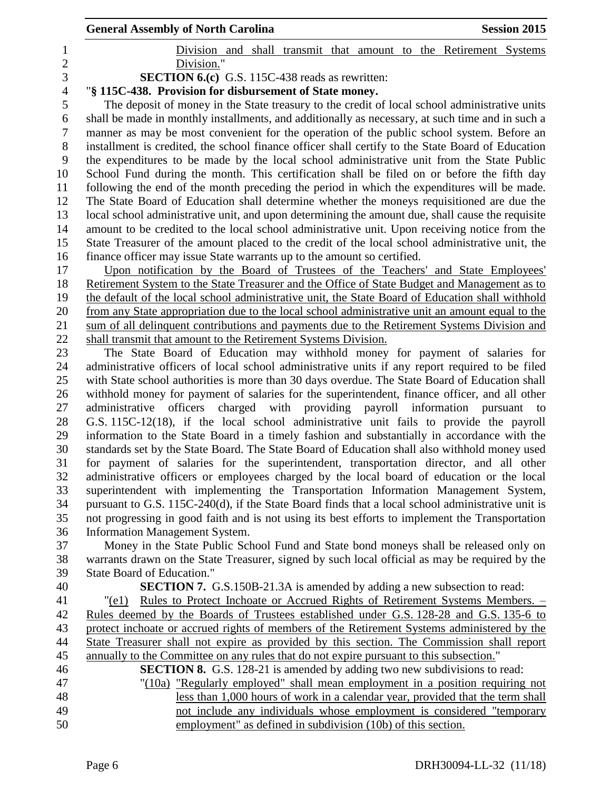|                | <b>General Assembly of North Carolina</b><br><b>Session 2015</b>                                                                                                                                     |
|----------------|------------------------------------------------------------------------------------------------------------------------------------------------------------------------------------------------------|
| 1              | Division and shall transmit that amount to the Retirement Systems                                                                                                                                    |
| $\overline{2}$ | Division."                                                                                                                                                                                           |
| 3              | <b>SECTION 6.(c)</b> G.S. 115C-438 reads as rewritten:                                                                                                                                               |
| $\overline{4}$ | "§ 115C-438. Provision for disbursement of State money.                                                                                                                                              |
| 5              | The deposit of money in the State treasury to the credit of local school administrative units                                                                                                        |
| 6              | shall be made in monthly installments, and additionally as necessary, at such time and in such a                                                                                                     |
| 7              | manner as may be most convenient for the operation of the public school system. Before an                                                                                                            |
| 8              | installment is credited, the school finance officer shall certify to the State Board of Education                                                                                                    |
| 9              | the expenditures to be made by the local school administrative unit from the State Public                                                                                                            |
| 10             | School Fund during the month. This certification shall be filed on or before the fifth day                                                                                                           |
| 11             | following the end of the month preceding the period in which the expenditures will be made.                                                                                                          |
| 12             | The State Board of Education shall determine whether the moneys requisitioned are due the                                                                                                            |
| 13             | local school administrative unit, and upon determining the amount due, shall cause the requisite                                                                                                     |
| 14             | amount to be credited to the local school administrative unit. Upon receiving notice from the                                                                                                        |
| 15             | State Treasurer of the amount placed to the credit of the local school administrative unit, the                                                                                                      |
| 16             | finance officer may issue State warrants up to the amount so certified.                                                                                                                              |
| 17<br>18       | Upon notification by the Board of Trustees of the Teachers' and State Employees'<br>Retirement System to the State Treasurer and the Office of State Budget and Management as to                     |
| 19             | the default of the local school administrative unit, the State Board of Education shall withhold                                                                                                     |
| 20             | from any State appropriation due to the local school administrative unit an amount equal to the                                                                                                      |
| 21             | sum of all delinquent contributions and payments due to the Retirement Systems Division and                                                                                                          |
| 22             | shall transmit that amount to the Retirement Systems Division.                                                                                                                                       |
| 23             | The State Board of Education may withhold money for payment of salaries for                                                                                                                          |
| 24             | administrative officers of local school administrative units if any report required to be filed                                                                                                      |
| 25             | with State school authorities is more than 30 days overdue. The State Board of Education shall                                                                                                       |
| 26             | withhold money for payment of salaries for the superintendent, finance officer, and all other                                                                                                        |
| 27             | administrative<br>officers<br>charged with providing payroll information pursuant<br>to                                                                                                              |
| 28             | G.S. 115C-12(18), if the local school administrative unit fails to provide the payroll                                                                                                               |
| 29             | information to the State Board in a timely fashion and substantially in accordance with the                                                                                                          |
| 30             | standards set by the State Board. The State Board of Education shall also withhold money used                                                                                                        |
| 31             | for payment of salaries for the superintendent, transportation director, and all other                                                                                                               |
| 32             | administrative officers or employees charged by the local board of education or the local                                                                                                            |
| 33             | superintendent with implementing the Transportation Information Management System,                                                                                                                   |
| 34<br>35       | pursuant to G.S. 115C-240(d), if the State Board finds that a local school administrative unit is<br>not progressing in good faith and is not using its best efforts to implement the Transportation |
| 36             | <b>Information Management System.</b>                                                                                                                                                                |
| 37             | Money in the State Public School Fund and State bond moneys shall be released only on                                                                                                                |
| 38             | warrants drawn on the State Treasurer, signed by such local official as may be required by the                                                                                                       |
| 39             | <b>State Board of Education."</b>                                                                                                                                                                    |
| 40             | <b>SECTION 7.</b> G.S.150B-21.3A is amended by adding a new subsection to read:                                                                                                                      |
| 41             | Rules to Protect Inchoate or Accrued Rights of Retirement Systems Members. -<br>"(e1)                                                                                                                |
| 42             | Rules deemed by the Boards of Trustees established under G.S. 128-28 and G.S. 135-6 to                                                                                                               |
| 43             | protect inchoate or accrued rights of members of the Retirement Systems administered by the                                                                                                          |
| 44             | State Treasurer shall not expire as provided by this section. The Commission shall report                                                                                                            |
| 45             | annually to the Committee on any rules that do not expire pursuant to this subsection."                                                                                                              |
| 46             | <b>SECTION 8.</b> G.S. 128-21 is amended by adding two new subdivisions to read:                                                                                                                     |
| 47             | "(10a) "Regularly employed" shall mean employment in a position requiring not                                                                                                                        |
| 48             | less than 1,000 hours of work in a calendar year, provided that the term shall                                                                                                                       |
| 49             | not include any individuals whose employment is considered "temporary                                                                                                                                |
| 50             | employment" as defined in subdivision (10b) of this section.                                                                                                                                         |
|                |                                                                                                                                                                                                      |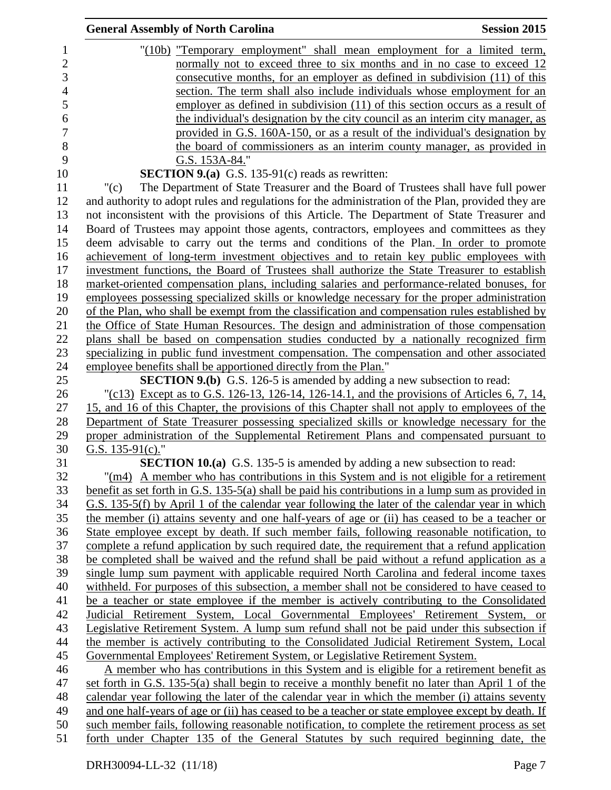|                | <b>General Assembly of North Carolina</b><br><b>Session 2015</b>                                      |
|----------------|-------------------------------------------------------------------------------------------------------|
| $\mathbf{1}$   | "(10b) "Temporary employment" shall mean employment for a limited term,                               |
| $\overline{c}$ | normally not to exceed three to six months and in no case to exceed 12                                |
| 3              | consecutive months, for an employer as defined in subdivision (11) of this                            |
| $\overline{4}$ | section. The term shall also include individuals whose employment for an                              |
| 5              | employer as defined in subdivision (11) of this section occurs as a result of                         |
| 6              | the individual's designation by the city council as an interim city manager, as                       |
| 7              | provided in G.S. 160A-150, or as a result of the individual's designation by                          |
| 8              | the board of commissioners as an interim county manager, as provided in                               |
| 9              | G.S. 153A-84."                                                                                        |
| 10             | <b>SECTION 9.(a)</b> G.S. 135-91(c) reads as rewritten:                                               |
|                | " $(c)$<br>The Department of State Treasurer and the Board of Trustees shall have full power          |
|                | and authority to adopt rules and regulations for the administration of the Plan, provided they are    |
| 13             | not inconsistent with the provisions of this Article. The Department of State Treasurer and           |
| 14             | Board of Trustees may appoint those agents, contractors, employees and committees as they             |
|                | deem advisable to carry out the terms and conditions of the Plan. In order to promote                 |
|                | achievement of long-term investment objectives and to retain key public employees with                |
|                | investment functions, the Board of Trustees shall authorize the State Treasurer to establish          |
|                | market-oriented compensation plans, including salaries and performance-related bonuses, for           |
|                | employees possessing specialized skills or knowledge necessary for the proper administration          |
|                | of the Plan, who shall be exempt from the classification and compensation rules established by        |
|                | the Office of State Human Resources. The design and administration of those compensation              |
|                | plans shall be based on compensation studies conducted by a nationally recognized firm                |
|                | specializing in public fund investment compensation. The compensation and other associated            |
|                | employee benefits shall be apportioned directly from the Plan."                                       |
|                | <b>SECTION 9.(b)</b> G.S. 126-5 is amended by adding a new subsection to read:                        |
|                | "(c13) Except as to G.S. 126-13, 126-14, 126-14.1, and the provisions of Articles 6, 7, 14,           |
|                | 15, and 16 of this Chapter, the provisions of this Chapter shall not apply to employees of the        |
|                | Department of State Treasurer possessing specialized skills or knowledge necessary for the            |
|                | proper administration of the Supplemental Retirement Plans and compensated pursuant to                |
|                | G.S. $135-91(c)$ ."                                                                                   |
|                | <b>SECTION 10.(a)</b> G.S. 135-5 is amended by adding a new subsection to read:                       |
|                | $\frac{m(n+1)}{2}$ A member who has contributions in this System and is not eligible for a retirement |
|                | benefit as set forth in G.S. 135-5(a) shall be paid his contributions in a lump sum as provided in    |
|                | G.S. 135-5(f) by April 1 of the calendar year following the later of the calendar year in which       |
|                | the member (i) attains seventy and one half-years of age or (ii) has ceased to be a teacher or        |
|                | State employee except by death. If such member fails, following reasonable notification, to           |
|                | complete a refund application by such required date, the requirement that a refund application        |
|                | be completed shall be waived and the refund shall be paid without a refund application as a           |
|                | single lump sum payment with applicable required North Carolina and federal income taxes              |
|                | withheld. For purposes of this subsection, a member shall not be considered to have ceased to         |
|                | be a teacher or state employee if the member is actively contributing to the Consolidated             |
|                | Judicial Retirement System, Local Governmental Employees' Retirement System, or                       |
|                | Legislative Retirement System. A lump sum refund shall not be paid under this subsection if           |
|                | the member is actively contributing to the Consolidated Judicial Retirement System, Local             |
|                | Governmental Employees' Retirement System, or Legislative Retirement System.                          |
|                | A member who has contributions in this System and is eligible for a retirement benefit as             |
|                | set forth in G.S. 135-5(a) shall begin to receive a monthly benefit no later than April 1 of the      |
|                | calendar year following the later of the calendar year in which the member (i) attains seventy        |
|                | and one half-years of age or (ii) has ceased to be a teacher or state employee except by death. If    |
|                | such member fails, following reasonable notification, to complete the retirement process as set       |
|                | forth under Chapter 135 of the General Statutes by such required beginning date, the                  |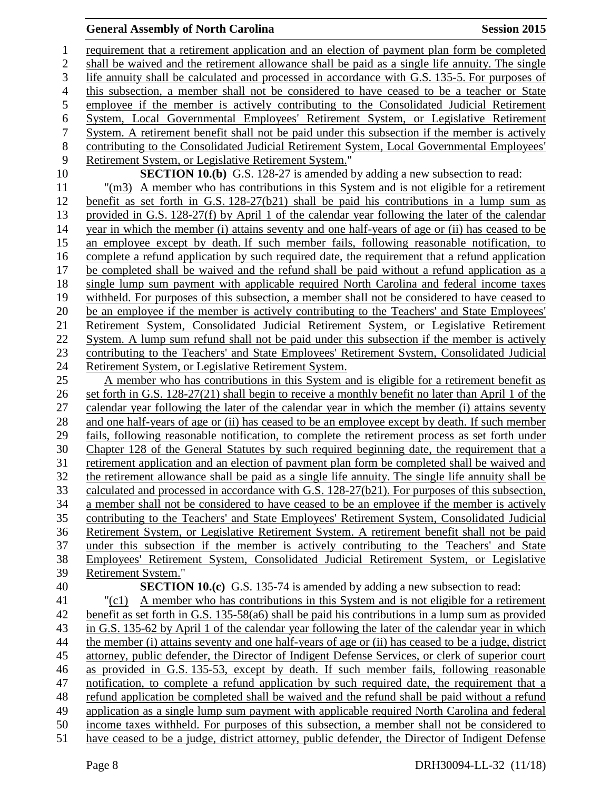requirement that a retirement application and an election of payment plan form be completed shall be waived and the retirement allowance shall be paid as a single life annuity. The single life annuity shall be calculated and processed in accordance with G.S. 135-5. For purposes of this subsection, a member shall not be considered to have ceased to be a teacher or State employee if the member is actively contributing to the Consolidated Judicial Retirement System, Local Governmental Employees' Retirement System, or Legislative Retirement System. A retirement benefit shall not be paid under this subsection if the member is actively contributing to the Consolidated Judicial Retirement System, Local Governmental Employees' Retirement System, or Legislative Retirement System." **SECTION 10.(b)** G.S. 128-27 is amended by adding a new subsection to read: "(m3) A member who has contributions in this System and is not eligible for a retirement benefit as set forth in G.S. 128-27(b21) shall be paid his contributions in a lump sum as provided in G.S. 128-27(f) by April 1 of the calendar year following the later of the calendar year in which the member (i) attains seventy and one half-years of age or (ii) has ceased to be an employee except by death. If such member fails, following reasonable notification, to complete a refund application by such required date, the requirement that a refund application be completed shall be waived and the refund shall be paid without a refund application as a single lump sum payment with applicable required North Carolina and federal income taxes withheld. For purposes of this subsection, a member shall not be considered to have ceased to be an employee if the member is actively contributing to the Teachers' and State Employees' Retirement System, Consolidated Judicial Retirement System, or Legislative Retirement System. A lump sum refund shall not be paid under this subsection if the member is actively contributing to the Teachers' and State Employees' Retirement System, Consolidated Judicial Retirement System, or Legislative Retirement System. A member who has contributions in this System and is eligible for a retirement benefit as set forth in G.S. 128-27(21) shall begin to receive a monthly benefit no later than April 1 of the calendar year following the later of the calendar year in which the member (i) attains seventy and one half-years of age or (ii) has ceased to be an employee except by death. If such member fails, following reasonable notification, to complete the retirement process as set forth under Chapter 128 of the General Statutes by such required beginning date, the requirement that a retirement application and an election of payment plan form be completed shall be waived and the retirement allowance shall be paid as a single life annuity. The single life annuity shall be calculated and processed in accordance with G.S. 128-27(b21). For purposes of this subsection, a member shall not be considered to have ceased to be an employee if the member is actively contributing to the Teachers' and State Employees' Retirement System, Consolidated Judicial Retirement System, or Legislative Retirement System. A retirement benefit shall not be paid under this subsection if the member is actively contributing to the Teachers' and State Employees' Retirement System, Consolidated Judicial Retirement System, or Legislative Retirement System." **SECTION 10.(c)** G.S. 135-74 is amended by adding a new subsection to read: "(c1) A member who has contributions in this System and is not eligible for a retirement benefit as set forth in G.S. 135-58(a6) shall be paid his contributions in a lump sum as provided in G.S. 135-62 by April 1 of the calendar year following the later of the calendar year in which the member (i) attains seventy and one half-years of age or (ii) has ceased to be a judge, district attorney, public defender, the Director of Indigent Defense Services, or clerk of superior court as provided in G.S. 135-53, except by death. If such member fails, following reasonable notification, to complete a refund application by such required date, the requirement that a refund application be completed shall be waived and the refund shall be paid without a refund application as a single lump sum payment with applicable required North Carolina and federal income taxes withheld. For purposes of this subsection, a member shall not be considered to have ceased to be a judge, district attorney, public defender, the Director of Indigent Defense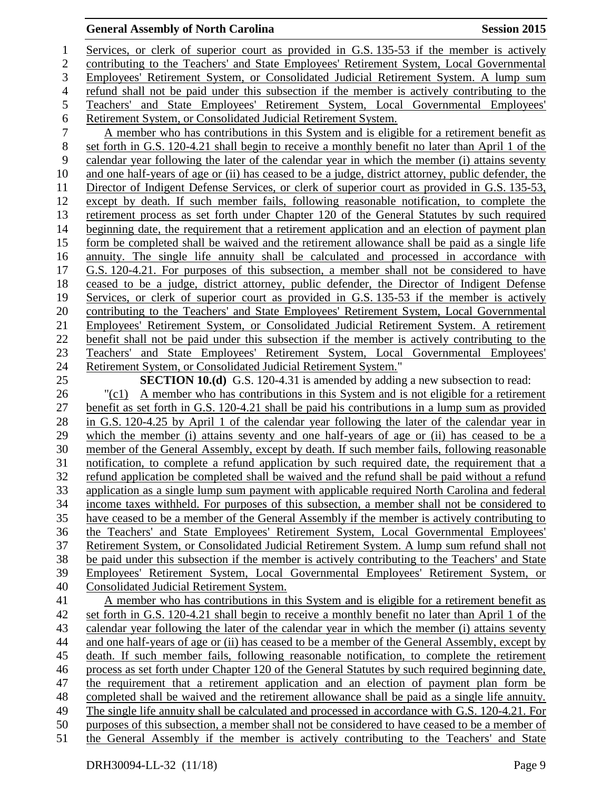Services, or clerk of superior court as provided in G.S. 135-53 if the member is actively contributing to the Teachers' and State Employees' Retirement System, Local Governmental Employees' Retirement System, or Consolidated Judicial Retirement System. A lump sum refund shall not be paid under this subsection if the member is actively contributing to the Teachers' and State Employees' Retirement System, Local Governmental Employees' 6 Retirement System, or Consolidated Judicial Retirement System.<br>
7 A member who has contributions in this System and is eligi A member who has contributions in this System and is eligible for a retirement benefit as set forth in G.S. 120-4.21 shall begin to receive a monthly benefit no later than April 1 of the calendar year following the later of the calendar year in which the member (i) attains seventy and one half-years of age or (ii) has ceased to be a judge, district attorney, public defender, the Director of Indigent Defense Services, or clerk of superior court as provided in G.S. 135-53, except by death. If such member fails, following reasonable notification, to complete the retirement process as set forth under Chapter 120 of the General Statutes by such required beginning date, the requirement that a retirement application and an election of payment plan form be completed shall be waived and the retirement allowance shall be paid as a single life annuity. The single life annuity shall be calculated and processed in accordance with G.S. 120-4.21. For purposes of this subsection, a member shall not be considered to have ceased to be a judge, district attorney, public defender, the Director of Indigent Defense 19 Services, or clerk of superior court as provided in G.S. 135-53 if the member is actively contributing to the Teachers' and State Employees' Retirement System, Local Governmental Employees' Retirement System, or Consolidated Judicial Retirement System. A retirement benefit shall not be paid under this subsection if the member is actively contributing to the Teachers' and State Employees' Retirement System, Local Governmental Employees' Retirement System, or Consolidated Judicial Retirement System." **SECTION 10.(d)** G.S. 120-4.31 is amended by adding a new subsection to read: "(c1) A member who has contributions in this System and is not eligible for a retirement benefit as set forth in G.S. 120-4.21 shall be paid his contributions in a lump sum as provided in G.S. 120-4.25 by April 1 of the calendar year following the later of the calendar year in which the member (i) attains seventy and one half-years of age or (ii) has ceased to be a member of the General Assembly, except by death. If such member fails, following reasonable notification, to complete a refund application by such required date, the requirement that a refund application be completed shall be waived and the refund shall be paid without a refund application as a single lump sum payment with applicable required North Carolina and federal income taxes withheld. For purposes of this subsection, a member shall not be considered to have ceased to be a member of the General Assembly if the member is actively contributing to the Teachers' and State Employees' Retirement System, Local Governmental Employees' Retirement System, or Consolidated Judicial Retirement System. A lump sum refund shall not be paid under this subsection if the member is actively contributing to the Teachers' and State Employees' Retirement System, Local Governmental Employees' Retirement System, or Consolidated Judicial Retirement System. A member who has contributions in this System and is eligible for a retirement benefit as set forth in G.S. 120-4.21 shall begin to receive a monthly benefit no later than April 1 of the calendar year following the later of the calendar year in which the member (i) attains seventy and one half-years of age or (ii) has ceased to be a member of the General Assembly, except by death. If such member fails, following reasonable notification, to complete the retirement process as set forth under Chapter 120 of the General Statutes by such required beginning date, the requirement that a retirement application and an election of payment plan form be completed shall be waived and the retirement allowance shall be paid as a single life annuity. The single life annuity shall be calculated and processed in accordance with G.S. 120-4.21. For purposes of this subsection, a member shall not be considered to have ceased to be a member of the General Assembly if the member is actively contributing to the Teachers' and State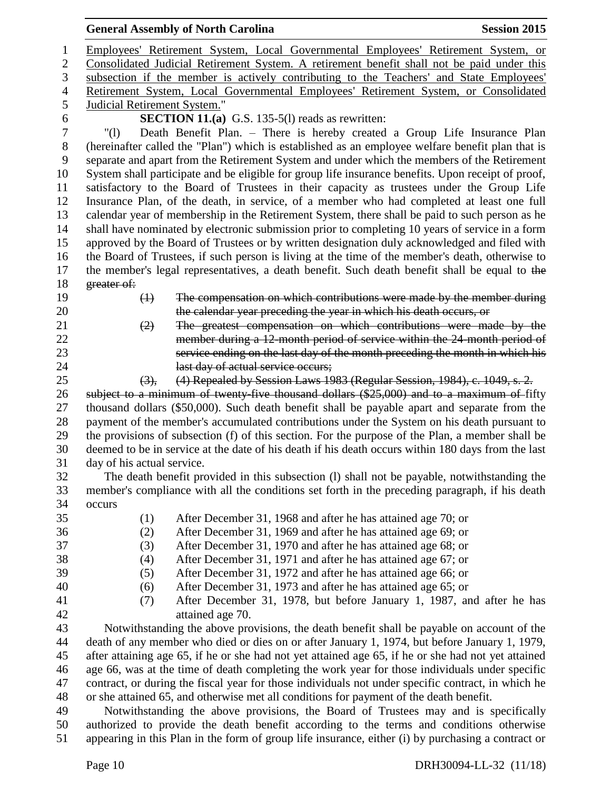| <b>General Assembly of North Carolina</b><br><b>Session 2015</b>                                                                                                                                                                                                                                                                                                                                  |  |  |
|---------------------------------------------------------------------------------------------------------------------------------------------------------------------------------------------------------------------------------------------------------------------------------------------------------------------------------------------------------------------------------------------------|--|--|
| Employees' Retirement System, Local Governmental Employees' Retirement System, or                                                                                                                                                                                                                                                                                                                 |  |  |
| Consolidated Judicial Retirement System. A retirement benefit shall not be paid under this                                                                                                                                                                                                                                                                                                        |  |  |
| subsection if the member is actively contributing to the Teachers' and State Employees'                                                                                                                                                                                                                                                                                                           |  |  |
| Retirement System, Local Governmental Employees' Retirement System, or Consolidated                                                                                                                                                                                                                                                                                                               |  |  |
| Judicial Retirement System."                                                                                                                                                                                                                                                                                                                                                                      |  |  |
| <b>SECTION 11.(a)</b> G.S. 135-5(l) reads as rewritten:                                                                                                                                                                                                                                                                                                                                           |  |  |
| Death Benefit Plan. - There is hereby created a Group Life Insurance Plan<br>$^{\prime\prime}(1)$                                                                                                                                                                                                                                                                                                 |  |  |
| (hereinafter called the "Plan") which is established as an employee welfare benefit plan that is<br>separate and apart from the Retirement System and under which the members of the Retirement<br>System shall participate and be eligible for group life insurance benefits. Upon receipt of proof,<br>satisfactory to the Board of Trustees in their capacity as trustees under the Group Life |  |  |
| Insurance Plan, of the death, in service, of a member who had completed at least one full                                                                                                                                                                                                                                                                                                         |  |  |
| calendar year of membership in the Retirement System, there shall be paid to such person as he                                                                                                                                                                                                                                                                                                    |  |  |
| shall have nominated by electronic submission prior to completing 10 years of service in a form                                                                                                                                                                                                                                                                                                   |  |  |
| approved by the Board of Trustees or by written designation duly acknowledged and filed with                                                                                                                                                                                                                                                                                                      |  |  |
| the Board of Trustees, if such person is living at the time of the member's death, otherwise to                                                                                                                                                                                                                                                                                                   |  |  |
| the member's legal representatives, a death benefit. Such death benefit shall be equal to the                                                                                                                                                                                                                                                                                                     |  |  |
| greater of:                                                                                                                                                                                                                                                                                                                                                                                       |  |  |
| The compensation on which contributions were made by the member during<br>$\bigoplus$                                                                                                                                                                                                                                                                                                             |  |  |
| the calendar year preceding the year in which his death occurs, or                                                                                                                                                                                                                                                                                                                                |  |  |
| The greatest compensation on which contributions were made by the<br>(2)                                                                                                                                                                                                                                                                                                                          |  |  |
| member during a 12-month period of service within the 24-month period of                                                                                                                                                                                                                                                                                                                          |  |  |
| service ending on the last day of the month preceding the month in which his                                                                                                                                                                                                                                                                                                                      |  |  |
| last day of actual service occurs;                                                                                                                                                                                                                                                                                                                                                                |  |  |
| (4) Repealed by Session Laws 1983 (Regular Session, 1984), c. 1049, s. 2.<br>(3),                                                                                                                                                                                                                                                                                                                 |  |  |
| subject to a minimum of twenty five thousand dollars (\$25,000) and to a maximum of fifty                                                                                                                                                                                                                                                                                                         |  |  |
| thousand dollars (\$50,000). Such death benefit shall be payable apart and separate from the                                                                                                                                                                                                                                                                                                      |  |  |
| payment of the member's accumulated contributions under the System on his death pursuant to                                                                                                                                                                                                                                                                                                       |  |  |
| the provisions of subsection (f) of this section. For the purpose of the Plan, a member shall be                                                                                                                                                                                                                                                                                                  |  |  |
| deemed to be in service at the date of his death if his death occurs within 180 days from the last                                                                                                                                                                                                                                                                                                |  |  |
| day of his actual service.                                                                                                                                                                                                                                                                                                                                                                        |  |  |
| The death benefit provided in this subsection (1) shall not be payable, notwithstanding the                                                                                                                                                                                                                                                                                                       |  |  |
| member's compliance with all the conditions set forth in the preceding paragraph, if his death                                                                                                                                                                                                                                                                                                    |  |  |
| occurs                                                                                                                                                                                                                                                                                                                                                                                            |  |  |
| (1)<br>After December 31, 1968 and after he has attained age 70; or                                                                                                                                                                                                                                                                                                                               |  |  |
| (2)<br>After December 31, 1969 and after he has attained age 69; or<br>After December 31, 1970 and after he has attained age 68; or                                                                                                                                                                                                                                                               |  |  |
| (3)<br>After December 31, 1971 and after he has attained age 67; or<br>(4)                                                                                                                                                                                                                                                                                                                        |  |  |
| After December 31, 1972 and after he has attained age 66; or<br>(5)                                                                                                                                                                                                                                                                                                                               |  |  |
| (6)<br>After December 31, 1973 and after he has attained age 65; or                                                                                                                                                                                                                                                                                                                               |  |  |
| After December 31, 1978, but before January 1, 1987, and after he has<br>(7)                                                                                                                                                                                                                                                                                                                      |  |  |
| attained age 70.                                                                                                                                                                                                                                                                                                                                                                                  |  |  |
| Notwithstanding the above provisions, the death benefit shall be payable on account of the                                                                                                                                                                                                                                                                                                        |  |  |
| death of any member who died or dies on or after January 1, 1974, but before January 1, 1979,                                                                                                                                                                                                                                                                                                     |  |  |
| after attaining age 65, if he or she had not yet attained age 65, if he or she had not yet attained                                                                                                                                                                                                                                                                                               |  |  |
| age 66, was at the time of death completing the work year for those individuals under specific                                                                                                                                                                                                                                                                                                    |  |  |
| contract, or during the fiscal year for those individuals not under specific contract, in which he                                                                                                                                                                                                                                                                                                |  |  |
| or she attained 65, and otherwise met all conditions for payment of the death benefit.                                                                                                                                                                                                                                                                                                            |  |  |
| Notwithstanding the above provisions, the Board of Trustees may and is specifically                                                                                                                                                                                                                                                                                                               |  |  |
| authorized to provide the death benefit according to the terms and conditions otherwise                                                                                                                                                                                                                                                                                                           |  |  |
| appearing in this Plan in the form of group life insurance, either (i) by purchasing a contract or                                                                                                                                                                                                                                                                                                |  |  |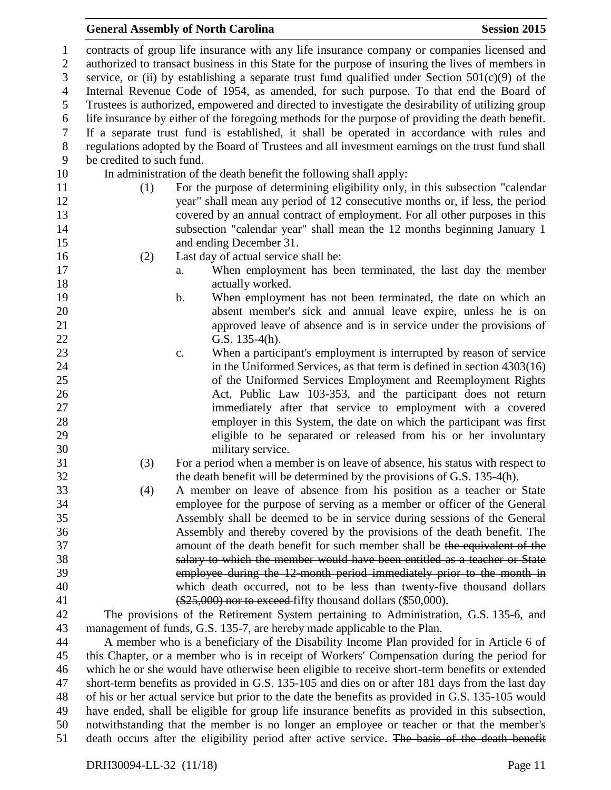contracts of group life insurance with any life insurance company or companies licensed and authorized to transact business in this State for the purpose of insuring the lives of members in 3 service, or (ii) by establishing a separate trust fund qualified under Section  $501(c)(9)$  of the Internal Revenue Code of 1954, as amended, for such purpose. To that end the Board of Trustees is authorized, empowered and directed to investigate the desirability of utilizing group life insurance by either of the foregoing methods for the purpose of providing the death benefit. If a separate trust fund is established, it shall be operated in accordance with rules and regulations adopted by the Board of Trustees and all investment earnings on the trust fund shall be credited to such fund. In administration of the death benefit the following shall apply: (1) For the purpose of determining eligibility only, in this subsection "calendar year" shall mean any period of 12 consecutive months or, if less, the period covered by an annual contract of employment. For all other purposes in this subsection "calendar year" shall mean the 12 months beginning January 1 and ending December 31. (2) Last day of actual service shall be: a. When employment has been terminated, the last day the member 18 actually worked. b. When employment has not been terminated, the date on which an absent member's sick and annual leave expire, unless he is on approved leave of absence and is in service under the provisions of G.S. 135-4(h). c. When a participant's employment is interrupted by reason of service 24 in the Uniformed Services, as that term is defined in section 4303(16) of the Uniformed Services Employment and Reemployment Rights Act, Public Law 103-353, and the participant does not return immediately after that service to employment with a covered employer in this System, the date on which the participant was first eligible to be separated or released from his or her involuntary military service. (3) For a period when a member is on leave of absence, his status with respect to the death benefit will be determined by the provisions of G.S. 135-4(h). (4) A member on leave of absence from his position as a teacher or State employee for the purpose of serving as a member or officer of the General Assembly shall be deemed to be in service during sessions of the General Assembly and thereby covered by the provisions of the death benefit. The amount of the death benefit for such member shall be the equivalent of the salary to which the member would have been entitled as a teacher or State employee during the 12-month period immediately prior to the month in which death occurred, not to be less than twenty-five thousand dollars 41 (\$25,000) nor to exceed fifty thousand dollars (\$50,000). The provisions of the Retirement System pertaining to Administration, G.S. 135-6, and management of funds, G.S. 135-7, are hereby made applicable to the Plan. A member who is a beneficiary of the Disability Income Plan provided for in Article 6 of this Chapter, or a member who is in receipt of Workers' Compensation during the period for which he or she would have otherwise been eligible to receive short-term benefits or extended short-term benefits as provided in G.S. 135-105 and dies on or after 181 days from the last day of his or her actual service but prior to the date the benefits as provided in G.S. 135-105 would have ended, shall be eligible for group life insurance benefits as provided in this subsection, notwithstanding that the member is no longer an employee or teacher or that the member's death occurs after the eligibility period after active service. The basis of the death benefit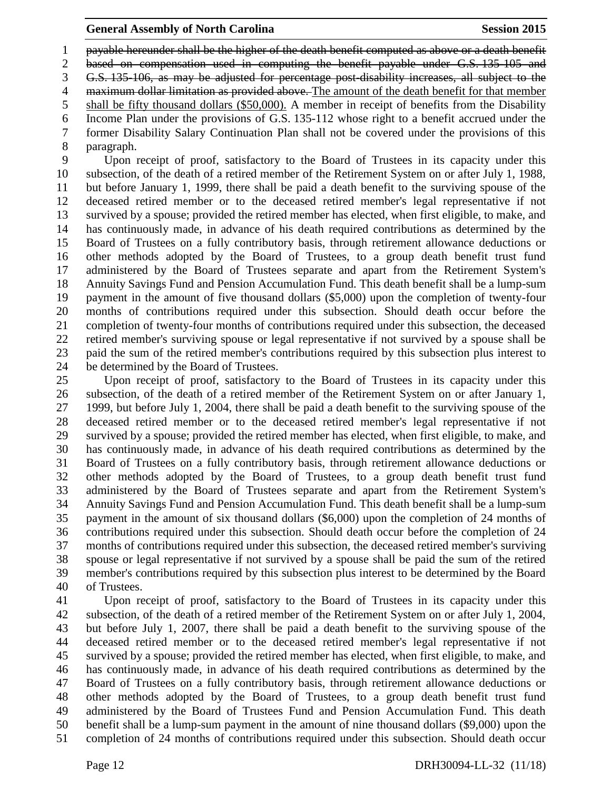payable hereunder shall be the higher of the death benefit computed as above or a death benefit

based on compensation used in computing the benefit payable under G.S. 135-105 and

G.S. 135-106, as may be adjusted for percentage post-disability increases, all subject to the

4 maximum dollar limitation as provided above. The amount of the death benefit for that member

shall be fifty thousand dollars (\$50,000). A member in receipt of benefits from the Disability

 Income Plan under the provisions of G.S. 135-112 whose right to a benefit accrued under the former Disability Salary Continuation Plan shall not be covered under the provisions of this paragraph.

 Upon receipt of proof, satisfactory to the Board of Trustees in its capacity under this subsection, of the death of a retired member of the Retirement System on or after July 1, 1988, but before January 1, 1999, there shall be paid a death benefit to the surviving spouse of the deceased retired member or to the deceased retired member's legal representative if not survived by a spouse; provided the retired member has elected, when first eligible, to make, and has continuously made, in advance of his death required contributions as determined by the Board of Trustees on a fully contributory basis, through retirement allowance deductions or other methods adopted by the Board of Trustees, to a group death benefit trust fund administered by the Board of Trustees separate and apart from the Retirement System's Annuity Savings Fund and Pension Accumulation Fund. This death benefit shall be a lump-sum payment in the amount of five thousand dollars (\$5,000) upon the completion of twenty-four months of contributions required under this subsection. Should death occur before the completion of twenty-four months of contributions required under this subsection, the deceased retired member's surviving spouse or legal representative if not survived by a spouse shall be paid the sum of the retired member's contributions required by this subsection plus interest to be determined by the Board of Trustees.

 Upon receipt of proof, satisfactory to the Board of Trustees in its capacity under this subsection, of the death of a retired member of the Retirement System on or after January 1, 1999, but before July 1, 2004, there shall be paid a death benefit to the surviving spouse of the deceased retired member or to the deceased retired member's legal representative if not survived by a spouse; provided the retired member has elected, when first eligible, to make, and has continuously made, in advance of his death required contributions as determined by the Board of Trustees on a fully contributory basis, through retirement allowance deductions or other methods adopted by the Board of Trustees, to a group death benefit trust fund administered by the Board of Trustees separate and apart from the Retirement System's Annuity Savings Fund and Pension Accumulation Fund. This death benefit shall be a lump-sum payment in the amount of six thousand dollars (\$6,000) upon the completion of 24 months of contributions required under this subsection. Should death occur before the completion of 24 months of contributions required under this subsection, the deceased retired member's surviving spouse or legal representative if not survived by a spouse shall be paid the sum of the retired member's contributions required by this subsection plus interest to be determined by the Board of Trustees.

 Upon receipt of proof, satisfactory to the Board of Trustees in its capacity under this subsection, of the death of a retired member of the Retirement System on or after July 1, 2004, but before July 1, 2007, there shall be paid a death benefit to the surviving spouse of the deceased retired member or to the deceased retired member's legal representative if not survived by a spouse; provided the retired member has elected, when first eligible, to make, and has continuously made, in advance of his death required contributions as determined by the Board of Trustees on a fully contributory basis, through retirement allowance deductions or other methods adopted by the Board of Trustees, to a group death benefit trust fund administered by the Board of Trustees Fund and Pension Accumulation Fund. This death benefit shall be a lump-sum payment in the amount of nine thousand dollars (\$9,000) upon the completion of 24 months of contributions required under this subsection. Should death occur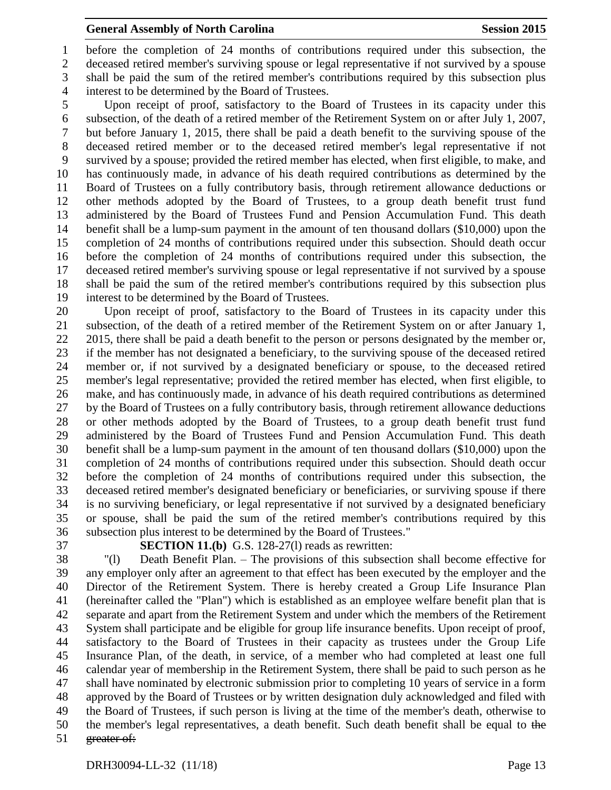before the completion of 24 months of contributions required under this subsection, the deceased retired member's surviving spouse or legal representative if not survived by a spouse shall be paid the sum of the retired member's contributions required by this subsection plus interest to be determined by the Board of Trustees.

 Upon receipt of proof, satisfactory to the Board of Trustees in its capacity under this 6 subsection, of the death of a retired member of the Retirement System on or after July 1, 2007,<br>7 but before January 1, 2015, there shall be paid a death benefit to the surviving spouse of the but before January 1, 2015, there shall be paid a death benefit to the surviving spouse of the deceased retired member or to the deceased retired member's legal representative if not survived by a spouse; provided the retired member has elected, when first eligible, to make, and has continuously made, in advance of his death required contributions as determined by the Board of Trustees on a fully contributory basis, through retirement allowance deductions or other methods adopted by the Board of Trustees, to a group death benefit trust fund administered by the Board of Trustees Fund and Pension Accumulation Fund. This death benefit shall be a lump-sum payment in the amount of ten thousand dollars (\$10,000) upon the completion of 24 months of contributions required under this subsection. Should death occur before the completion of 24 months of contributions required under this subsection, the deceased retired member's surviving spouse or legal representative if not survived by a spouse shall be paid the sum of the retired member's contributions required by this subsection plus interest to be determined by the Board of Trustees.

 Upon receipt of proof, satisfactory to the Board of Trustees in its capacity under this subsection, of the death of a retired member of the Retirement System on or after January 1, 22 2015, there shall be paid a death benefit to the person or persons designated by the member or, if the member has not designated a beneficiary, to the surviving spouse of the deceased retired member or, if not survived by a designated beneficiary or spouse, to the deceased retired member's legal representative; provided the retired member has elected, when first eligible, to make, and has continuously made, in advance of his death required contributions as determined by the Board of Trustees on a fully contributory basis, through retirement allowance deductions or other methods adopted by the Board of Trustees, to a group death benefit trust fund administered by the Board of Trustees Fund and Pension Accumulation Fund. This death benefit shall be a lump-sum payment in the amount of ten thousand dollars (\$10,000) upon the completion of 24 months of contributions required under this subsection. Should death occur before the completion of 24 months of contributions required under this subsection, the deceased retired member's designated beneficiary or beneficiaries, or surviving spouse if there is no surviving beneficiary, or legal representative if not survived by a designated beneficiary or spouse, shall be paid the sum of the retired member's contributions required by this subsection plus interest to be determined by the Board of Trustees."

**SECTION 11.(b)** G.S. 128-27(l) reads as rewritten:

 "(l) Death Benefit Plan. – The provisions of this subsection shall become effective for any employer only after an agreement to that effect has been executed by the employer and the Director of the Retirement System. There is hereby created a Group Life Insurance Plan (hereinafter called the "Plan") which is established as an employee welfare benefit plan that is separate and apart from the Retirement System and under which the members of the Retirement System shall participate and be eligible for group life insurance benefits. Upon receipt of proof, satisfactory to the Board of Trustees in their capacity as trustees under the Group Life Insurance Plan, of the death, in service, of a member who had completed at least one full calendar year of membership in the Retirement System, there shall be paid to such person as he shall have nominated by electronic submission prior to completing 10 years of service in a form approved by the Board of Trustees or by written designation duly acknowledged and filed with the Board of Trustees, if such person is living at the time of the member's death, otherwise to the member's legal representatives, a death benefit. Such death benefit shall be equal to the greater of: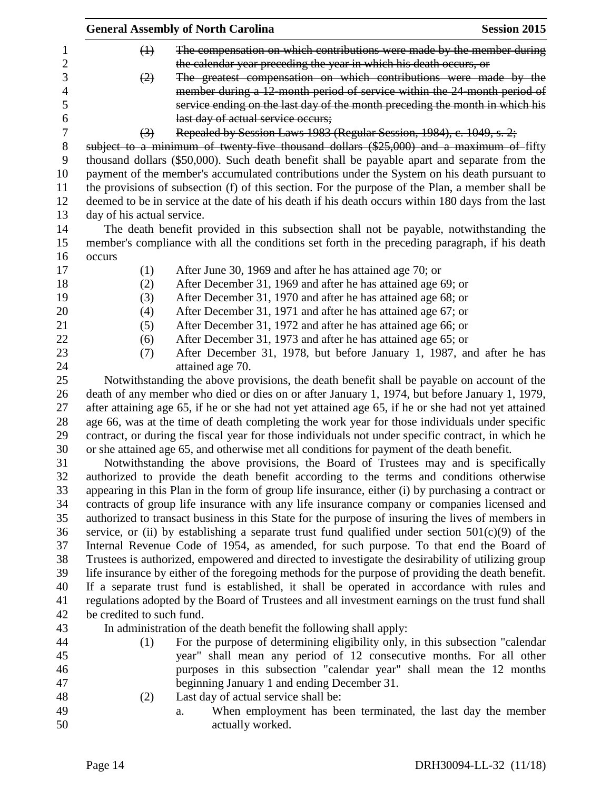|                  | <b>General Assembly of North Carolina</b>                                                                                                                                                            | <b>Session 2015</b> |
|------------------|------------------------------------------------------------------------------------------------------------------------------------------------------------------------------------------------------|---------------------|
| 1                | The compensation on which contributions were made by the member during<br>$\bigoplus$                                                                                                                |                     |
| $\overline{c}$   | the calendar year preceding the year in which his death occurs, or                                                                                                                                   |                     |
| 3                | The greatest compensation on which contributions were made by the<br>(2)                                                                                                                             |                     |
| 4                | member during a 12-month period of service within the 24-month period of                                                                                                                             |                     |
| 5                | service ending on the last day of the month preceding the month in which his                                                                                                                         |                     |
| 6                | last day of actual service occurs;                                                                                                                                                                   |                     |
| $\boldsymbol{7}$ | Repealed by Session Laws 1983 (Regular Session, 1984), c. 1049, s. 2;<br>$\left(3\right)$                                                                                                            |                     |
| $8\,$            | subject to a minimum of twenty-five thousand dollars (\$25,000) and a maximum of fifty                                                                                                               |                     |
| 9                | thousand dollars (\$50,000). Such death benefit shall be payable apart and separate from the                                                                                                         |                     |
| 10               | payment of the member's accumulated contributions under the System on his death pursuant to                                                                                                          |                     |
| 11               | the provisions of subsection (f) of this section. For the purpose of the Plan, a member shall be                                                                                                     |                     |
| 12               | deemed to be in service at the date of his death if his death occurs within 180 days from the last                                                                                                   |                     |
| 13               | day of his actual service.                                                                                                                                                                           |                     |
| 14               | The death benefit provided in this subsection shall not be payable, notwithstanding the                                                                                                              |                     |
| 15               | member's compliance with all the conditions set forth in the preceding paragraph, if his death                                                                                                       |                     |
| 16               | occurs                                                                                                                                                                                               |                     |
| 17               | After June 30, 1969 and after he has attained age 70; or<br>(1)                                                                                                                                      |                     |
| 18               | After December 31, 1969 and after he has attained age 69; or<br>(2)                                                                                                                                  |                     |
| 19               | After December 31, 1970 and after he has attained age 68; or<br>(3)                                                                                                                                  |                     |
| 20               | After December 31, 1971 and after he has attained age 67; or<br>(4)                                                                                                                                  |                     |
| 21               | (5)<br>After December 31, 1972 and after he has attained age 66; or                                                                                                                                  |                     |
| 22               | After December 31, 1973 and after he has attained age 65; or<br>(6)                                                                                                                                  |                     |
| 23               | After December 31, 1978, but before January 1, 1987, and after he has<br>(7)                                                                                                                         |                     |
| 24               | attained age 70.                                                                                                                                                                                     |                     |
| 25               | Notwithstanding the above provisions, the death benefit shall be payable on account of the                                                                                                           |                     |
| 26               | death of any member who died or dies on or after January 1, 1974, but before January 1, 1979,                                                                                                        |                     |
| 27               | after attaining age 65, if he or she had not yet attained age 65, if he or she had not yet attained                                                                                                  |                     |
| 28<br>29         | age 66, was at the time of death completing the work year for those individuals under specific<br>contract, or during the fiscal year for those individuals not under specific contract, in which he |                     |
| 30               | or she attained age 65, and otherwise met all conditions for payment of the death benefit.                                                                                                           |                     |
| 31               | Notwithstanding the above provisions, the Board of Trustees may and is specifically                                                                                                                  |                     |
| 32               | authorized to provide the death benefit according to the terms and conditions otherwise                                                                                                              |                     |
| 33               | appearing in this Plan in the form of group life insurance, either (i) by purchasing a contract or                                                                                                   |                     |
| 34               | contracts of group life insurance with any life insurance company or companies licensed and                                                                                                          |                     |
| 35               | authorized to transact business in this State for the purpose of insuring the lives of members in                                                                                                    |                     |
| 36               | service, or (ii) by establishing a separate trust fund qualified under section $501(c)(9)$ of the                                                                                                    |                     |
| 37               | Internal Revenue Code of 1954, as amended, for such purpose. To that end the Board of                                                                                                                |                     |
| 38               | Trustees is authorized, empowered and directed to investigate the desirability of utilizing group                                                                                                    |                     |
| 39               | life insurance by either of the foregoing methods for the purpose of providing the death benefit.                                                                                                    |                     |
| 40               | If a separate trust fund is established, it shall be operated in accordance with rules and                                                                                                           |                     |
| 41               | regulations adopted by the Board of Trustees and all investment earnings on the trust fund shall                                                                                                     |                     |
| 42               | be credited to such fund.                                                                                                                                                                            |                     |
| 43               | In administration of the death benefit the following shall apply:                                                                                                                                    |                     |
| 44               | For the purpose of determining eligibility only, in this subsection "calendar<br>(1)                                                                                                                 |                     |
| 45               | year" shall mean any period of 12 consecutive months. For all other                                                                                                                                  |                     |
| 46               | purposes in this subsection "calendar year" shall mean the 12 months                                                                                                                                 |                     |
| 47               | beginning January 1 and ending December 31.                                                                                                                                                          |                     |
| 48               | Last day of actual service shall be:<br>(2)                                                                                                                                                          |                     |
| 49               | When employment has been terminated, the last day the member<br>a.                                                                                                                                   |                     |
| 50               | actually worked.                                                                                                                                                                                     |                     |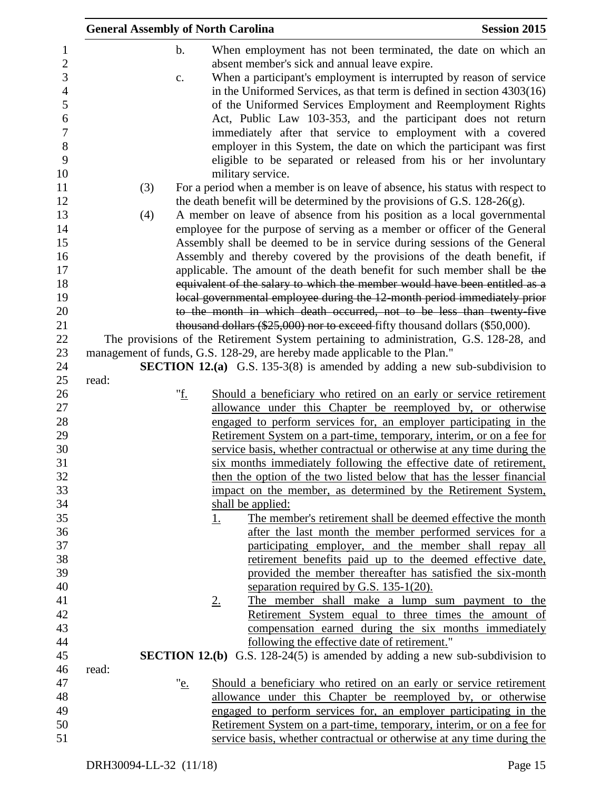| <b>General Assembly of North Carolina</b> |                                                                            | <b>Session 2015</b>                                                                    |
|-------------------------------------------|----------------------------------------------------------------------------|----------------------------------------------------------------------------------------|
| $\mathbf b$ .                             |                                                                            | When employment has not been terminated, the date on which an                          |
|                                           | absent member's sick and annual leave expire.                              |                                                                                        |
| c.                                        |                                                                            | When a participant's employment is interrupted by reason of service                    |
|                                           |                                                                            | in the Uniformed Services, as that term is defined in section $4303(16)$               |
|                                           |                                                                            | of the Uniformed Services Employment and Reemployment Rights                           |
|                                           |                                                                            | Act, Public Law 103-353, and the participant does not return                           |
|                                           |                                                                            | immediately after that service to employment with a covered                            |
|                                           |                                                                            | employer in this System, the date on which the participant was first                   |
|                                           |                                                                            | eligible to be separated or released from his or her involuntary                       |
|                                           | military service.                                                          |                                                                                        |
| (3)                                       |                                                                            | For a period when a member is on leave of absence, his status with respect to          |
|                                           |                                                                            | the death benefit will be determined by the provisions of G.S. $128-26(g)$ .           |
| (4)                                       |                                                                            | A member on leave of absence from his position as a local governmental                 |
|                                           |                                                                            | employee for the purpose of serving as a member or officer of the General              |
|                                           |                                                                            | Assembly shall be deemed to be in service during sessions of the General               |
|                                           |                                                                            | Assembly and thereby covered by the provisions of the death benefit, if                |
|                                           |                                                                            | applicable. The amount of the death benefit for such member shall be the               |
|                                           |                                                                            | equivalent of the salary to which the member would have been entitled as a             |
|                                           |                                                                            | local governmental employee during the 12-month period immediately prior               |
|                                           |                                                                            | to the month in which death occurred, not to be less than twenty-five                  |
|                                           |                                                                            | thousand dollars (\$25,000) nor to exceed-fifty thousand dollars (\$50,000).           |
|                                           |                                                                            | The provisions of the Retirement System pertaining to administration, G.S. 128-28, and |
|                                           | management of funds, G.S. 128-29, are hereby made applicable to the Plan." |                                                                                        |
|                                           |                                                                            | <b>SECTION 12.(a)</b> G.S. 135-3(8) is amended by adding a new sub-subdivision to      |
| read:                                     |                                                                            |                                                                                        |
| " <u>f.</u>                               |                                                                            | Should a beneficiary who retired on an early or service retirement                     |
|                                           |                                                                            | allowance under this Chapter be reemployed by, or otherwise                            |
|                                           |                                                                            | engaged to perform services for, an employer participating in the                      |
|                                           |                                                                            | Retirement System on a part-time, temporary, interim, or on a fee for                  |
|                                           |                                                                            | service basis, whether contractual or otherwise at any time during the                 |
|                                           |                                                                            | six months immediately following the effective date of retirement,                     |
|                                           |                                                                            | then the option of the two listed below that has the lesser financial                  |
|                                           |                                                                            | impact on the member, as determined by the Retirement System,                          |
|                                           | shall be applied:                                                          |                                                                                        |
|                                           | <u>1.</u>                                                                  | The member's retirement shall be deemed effective the month                            |
|                                           |                                                                            | after the last month the member performed services for a                               |
|                                           |                                                                            | participating employer, and the member shall repay all                                 |
|                                           |                                                                            | retirement benefits paid up to the deemed effective date,                              |
|                                           |                                                                            | provided the member thereafter has satisfied the six-month                             |
|                                           | separation required by G.S. $135-1(20)$ .                                  |                                                                                        |
|                                           | <u>2.</u>                                                                  | The member shall make a lump sum payment to the                                        |
|                                           |                                                                            | Retirement System equal to three times the amount of                                   |
|                                           |                                                                            | compensation earned during the six months immediately                                  |
|                                           | following the effective date of retirement."                               |                                                                                        |
|                                           |                                                                            | <b>SECTION 12.(b)</b> G.S. 128-24(5) is amended by adding a new sub-subdivision to     |
| read:                                     |                                                                            |                                                                                        |
| " <u>e.</u>                               |                                                                            | Should a beneficiary who retired on an early or service retirement                     |
|                                           |                                                                            | allowance under this Chapter be reemployed by, or otherwise                            |
|                                           |                                                                            | engaged to perform services for, an employer participating in the                      |
|                                           |                                                                            | Retirement System on a part-time, temporary, interim, or on a fee for                  |
|                                           |                                                                            | service basis, whether contractual or otherwise at any time during the                 |